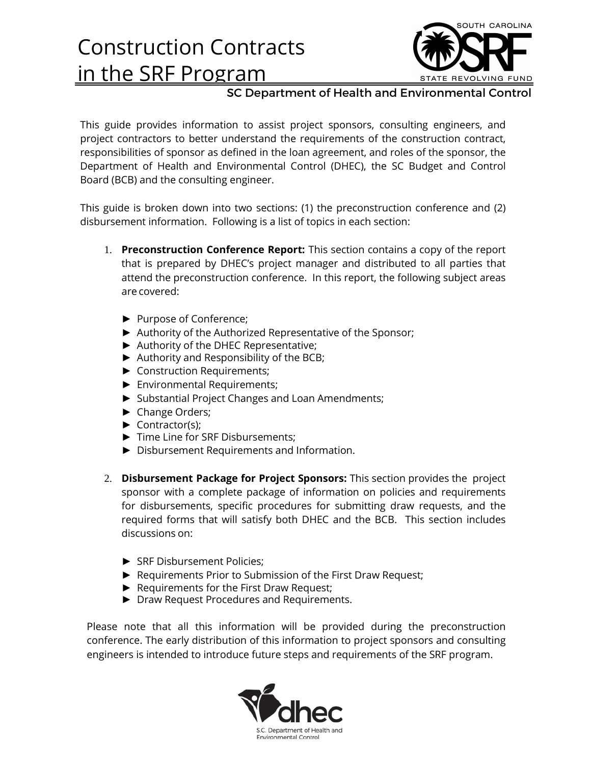# Construction Contracts in the SRF Program



#### SC Department of Health and Environmental Control

This guide provides information to assist project sponsors, consulting engineers, and project contractors to better understand the requirements of the construction contract, responsibilities of sponsor as defined in the loan agreement, and roles of the sponsor, the Department of Health and Environmental Control (DHEC), the SC Budget and Control Board (BCB) and the consulting engineer.

This guide is broken down into two sections: (1) the preconstruction conference and (2) disbursement information. Following is a list of topics in each section:

- 1. **Preconstruction Conference Report:** This section contains a copy of the report that is prepared by DHEC's project manager and distributed to all parties that attend the preconstruction conference. In this report, the following subject areas are covered:
	- ► Purpose of Conference;
	- ► Authority of the Authorized Representative of the Sponsor;
	- ► Authority of the DHEC Representative;
	- ► Authority and Responsibility of the BCB;
	- ► Construction Requirements;
	- ► Environmental Requirements;
	- ► Substantial Project Changes and Loan Amendments;
	- ► Change Orders;
	- ► Contractor(s);
	- ► Time Line for SRF Disbursements;
	- ► Disbursement Requirements and Information.
- 2. **Disbursement Package for Project Sponsors:** This section provides the project sponsor with a complete package of information on policies and requirements for disbursements, specific procedures for submitting draw requests, and the required forms that will satisfy both DHEC and the BCB. This section includes discussions on:
	- ► SRF Disbursement Policies;
	- ► Requirements Prior to Submission of the First Draw Request;
	- ► Requirements for the First Draw Request;
	- ► Draw Request Procedures and Requirements.

Please note that all this information will be provided during the preconstruction conference. The early distribution of this information to project sponsors and consulting engineers is intended to introduce future steps and requirements of the SRF program.

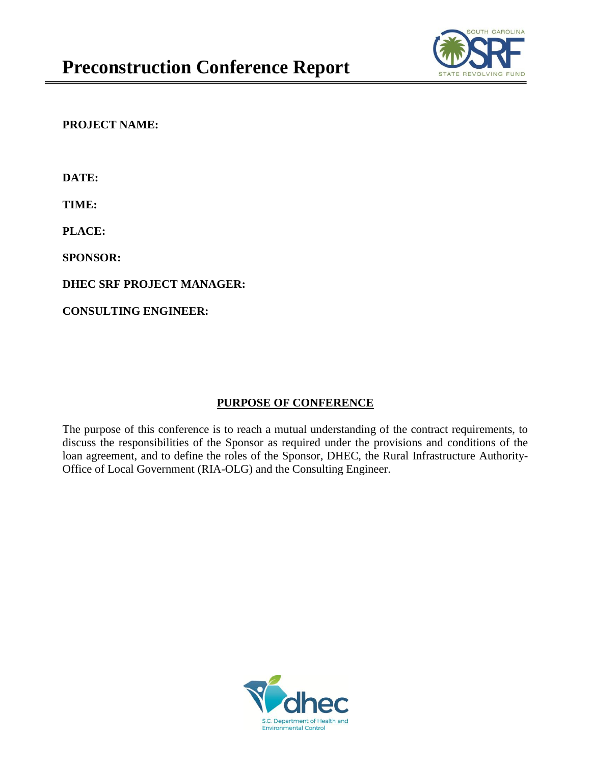

**PROJECT NAME:** 

**DATE:**

**TIME:**

**PLACE:**

**SPONSOR:**

**DHEC SRF PROJECT MANAGER:**

**CONSULTING ENGINEER:**

### **PURPOSE OF CONFERENCE**

The purpose of this conference is to reach a mutual understanding of the contract requirements, to discuss the responsibilities of the Sponsor as required under the provisions and conditions of the loan agreement, and to define the roles of the Sponsor, DHEC, the Rural Infrastructure Authority-Office of Local Government (RIA-OLG) and the Consulting Engineer.

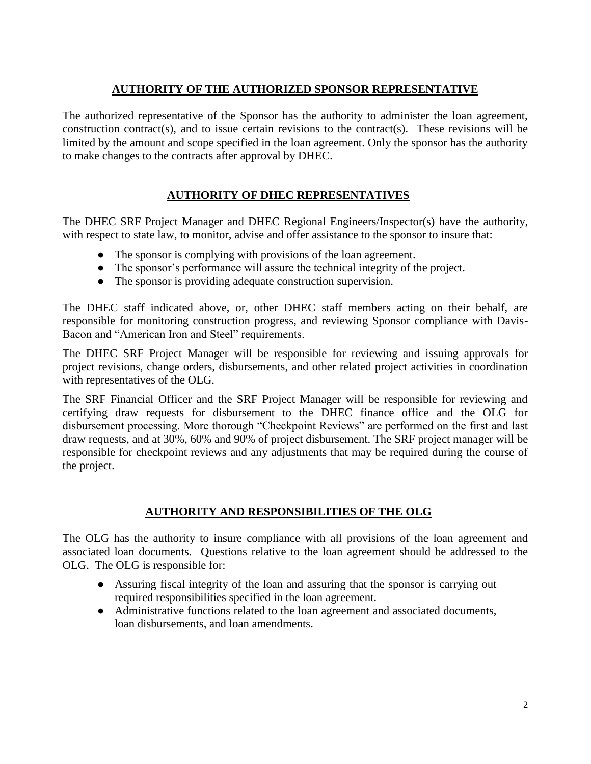#### **AUTHORITY OF THE AUTHORIZED SPONSOR REPRESENTATIVE**

The authorized representative of the Sponsor has the authority to administer the loan agreement, construction contract(s), and to issue certain revisions to the contract(s). These revisions will be limited by the amount and scope specified in the loan agreement. Only the sponsor has the authority to make changes to the contracts after approval by DHEC.

### **AUTHORITY OF DHEC REPRESENTATIVES**

The DHEC SRF Project Manager and DHEC Regional Engineers/Inspector(s) have the authority, with respect to state law, to monitor, advise and offer assistance to the sponsor to insure that:

- The sponsor is complying with provisions of the loan agreement.
- The sponsor's performance will assure the technical integrity of the project.
- The sponsor is providing adequate construction supervision.

The DHEC staff indicated above, or, other DHEC staff members acting on their behalf, are responsible for monitoring construction progress, and reviewing Sponsor compliance with Davis-Bacon and "American Iron and Steel" requirements.

The DHEC SRF Project Manager will be responsible for reviewing and issuing approvals for project revisions, change orders, disbursements, and other related project activities in coordination with representatives of the OLG.

The SRF Financial Officer and the SRF Project Manager will be responsible for reviewing and certifying draw requests for disbursement to the DHEC finance office and the OLG for disbursement processing. More thorough "Checkpoint Reviews" are performed on the first and last draw requests, and at 30%, 60% and 90% of project disbursement. The SRF project manager will be responsible for checkpoint reviews and any adjustments that may be required during the course of the project.

### **AUTHORITY AND RESPONSIBILITIES OF THE OLG**

The OLG has the authority to insure compliance with all provisions of the loan agreement and associated loan documents. Questions relative to the loan agreement should be addressed to the OLG. The OLG is responsible for:

- Assuring fiscal integrity of the loan and assuring that the sponsor is carrying out required responsibilities specified in the loan agreement.
- Administrative functions related to the loan agreement and associated documents, loan disbursements, and loan amendments.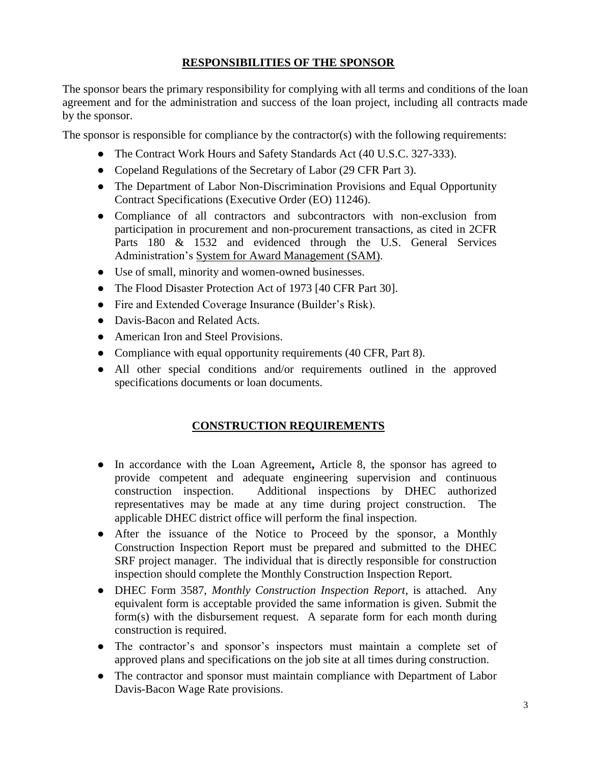#### **RESPONSIBILITIES OF THE SPONSOR**

The sponsor bears the primary responsibility for complying with all terms and conditions of the loan agreement and for the administration and success of the loan project, including all contracts made by the sponsor.

The sponsor is responsible for compliance by the contractor(s) with the following requirements:

- The Contract Work Hours and Safety Standards Act (40 U.S.C. 327-333).
- Copeland Regulations of the Secretary of Labor (29 CFR Part 3).
- The Department of Labor Non-Discrimination Provisions and Equal Opportunity Contract Specifications (Executive Order (EO) 11246).
- Compliance of all contractors and subcontractors with non-exclusion from participation in procurement and non-procurement transactions, as cited in 2CFR Parts 180 & 1532 and evidenced through the U.S. General Services Administration's System for Award Management (SAM).
- Use of small, minority and women-owned businesses.
- The Flood Disaster Protection Act of 1973 [40 CFR Part 30].
- Fire and Extended Coverage Insurance (Builder's Risk).
- Davis-Bacon and Related Acts.
- American Iron and Steel Provisions.
- Compliance with equal opportunity requirements (40 CFR, Part 8).
- All other special conditions and/or requirements outlined in the approved specifications documents or loan documents.

### **CONSTRUCTION REQUIREMENTS**

- In accordance with the Loan Agreement**,** Article 8, the sponsor has agreed to provide competent and adequate engineering supervision and continuous construction inspection. Additional inspections by DHEC authorized representatives may be made at any time during project construction. The applicable DHEC district office will perform the final inspection.
- After the issuance of the Notice to Proceed by the sponsor, a Monthly Construction Inspection Report must be prepared and submitted to the DHEC SRF project manager. The individual that is directly responsible for construction inspection should complete the Monthly Construction Inspection Report.
- DHEC Form 3587, *Monthly Construction Inspection Report*, is attached. Any equivalent form is acceptable provided the same information is given. Submit the form(s) with the disbursement request. A separate form for each month during construction is required.
- The contractor's and sponsor's inspectors must maintain a complete set of approved plans and specifications on the job site at all times during construction.
- The contractor and sponsor must maintain compliance with Department of Labor Davis-Bacon Wage Rate provisions.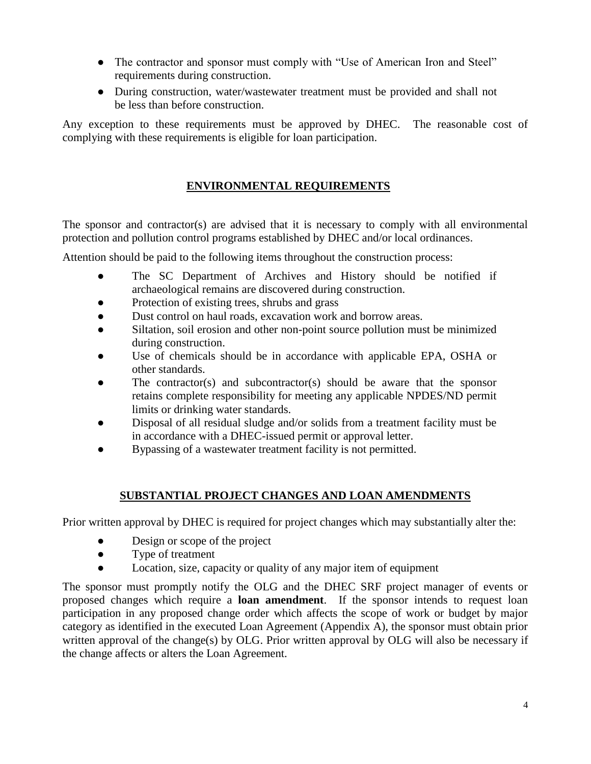- The contractor and sponsor must comply with "Use of American Iron and Steel" requirements during construction.
- During construction, water/wastewater treatment must be provided and shall not be less than before construction.

Any exception to these requirements must be approved by DHEC. The reasonable cost of complying with these requirements is eligible for loan participation.

#### **ENVIRONMENTAL REQUIREMENTS**

The sponsor and contractor(s) are advised that it is necessary to comply with all environmental protection and pollution control programs established by DHEC and/or local ordinances.

Attention should be paid to the following items throughout the construction process:

- The SC Department of Archives and History should be notified if archaeological remains are discovered during construction.
- Protection of existing trees, shrubs and grass
- Dust control on haul roads, excavation work and borrow areas.
- Siltation, soil erosion and other non-point source pollution must be minimized during construction.
- Use of chemicals should be in accordance with applicable EPA, OSHA or other standards.
- The contractor(s) and subcontractor(s) should be aware that the sponsor retains complete responsibility for meeting any applicable NPDES/ND permit limits or drinking water standards.
- Disposal of all residual sludge and/or solids from a treatment facility must be in accordance with a DHEC-issued permit or approval letter.
- Bypassing of a wastewater treatment facility is not permitted.

### **SUBSTANTIAL PROJECT CHANGES AND LOAN AMENDMENTS**

Prior written approval by DHEC is required for project changes which may substantially alter the:

- Design or scope of the project
- Type of treatment
- Location, size, capacity or quality of any major item of equipment

The sponsor must promptly notify the OLG and the DHEC SRF project manager of events or proposed changes which require a **loan amendment**. If the sponsor intends to request loan participation in any proposed change order which affects the scope of work or budget by major category as identified in the executed Loan Agreement (Appendix A), the sponsor must obtain prior written approval of the change(s) by OLG. Prior written approval by OLG will also be necessary if the change affects or alters the Loan Agreement.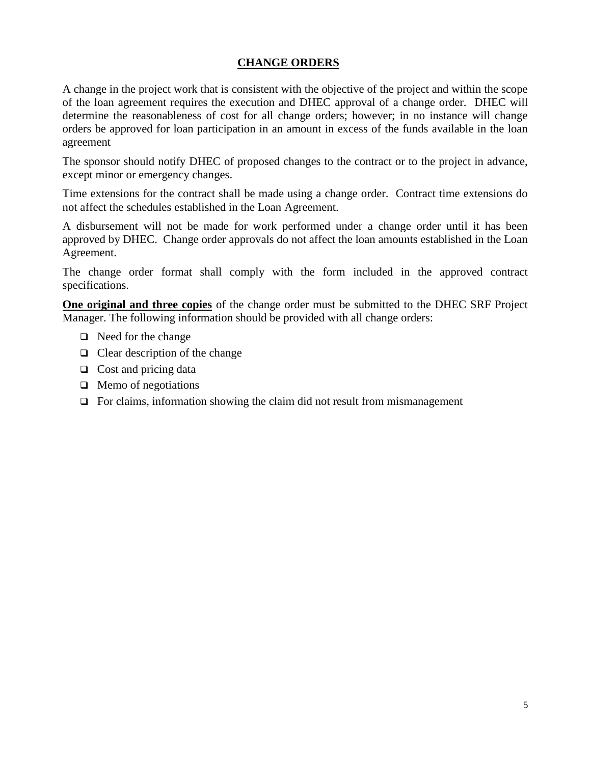#### **CHANGE ORDERS**

A change in the project work that is consistent with the objective of the project and within the scope of the loan agreement requires the execution and DHEC approval of a change order. DHEC will determine the reasonableness of cost for all change orders; however; in no instance will change orders be approved for loan participation in an amount in excess of the funds available in the loan agreement

The sponsor should notify DHEC of proposed changes to the contract or to the project in advance, except minor or emergency changes.

Time extensions for the contract shall be made using a change order. Contract time extensions do not affect the schedules established in the Loan Agreement.

A disbursement will not be made for work performed under a change order until it has been approved by DHEC. Change order approvals do not affect the loan amounts established in the Loan Agreement.

The change order format shall comply with the form included in the approved contract specifications.

**One original and three copies** of the change order must be submitted to the DHEC SRF Project Manager. The following information should be provided with all change orders:

- $\Box$  Need for the change
- $\Box$  Clear description of the change
- $\Box$  Cost and pricing data
- $\Box$  Memo of negotiations
- $\Box$  For claims, information showing the claim did not result from mismanagement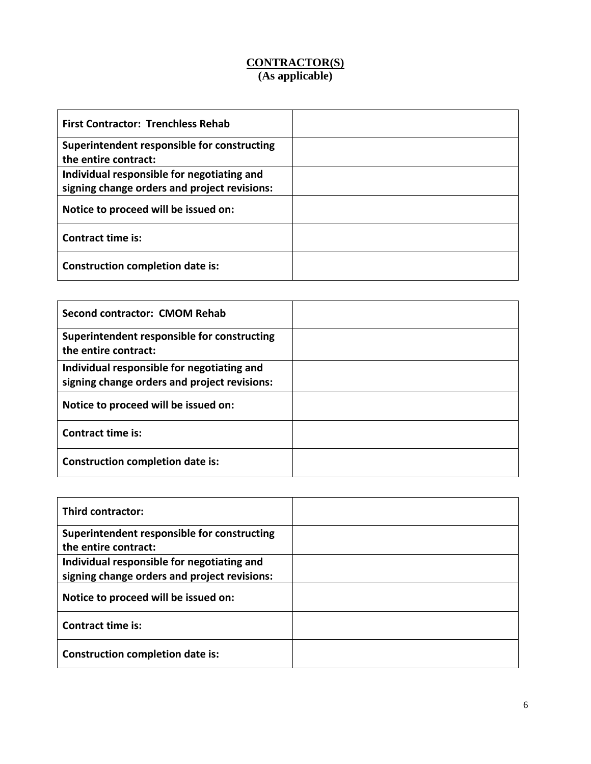#### **CONTRACTOR(S) (As applicable)**

| <b>First Contractor: Trenchless Rehab</b>    |  |
|----------------------------------------------|--|
| Superintendent responsible for constructing  |  |
| the entire contract:                         |  |
| Individual responsible for negotiating and   |  |
| signing change orders and project revisions: |  |
| Notice to proceed will be issued on:         |  |
| <b>Contract time is:</b>                     |  |
| <b>Construction completion date is:</b>      |  |

| Second contractor: CMOM Rehab                                                              |  |
|--------------------------------------------------------------------------------------------|--|
| Superintendent responsible for constructing<br>the entire contract:                        |  |
| Individual responsible for negotiating and<br>signing change orders and project revisions: |  |
| Notice to proceed will be issued on:                                                       |  |
| Contract time is:                                                                          |  |
| Construction completion date is:                                                           |  |

| Third contractor:                                                                          |  |
|--------------------------------------------------------------------------------------------|--|
| Superintendent responsible for constructing<br>the entire contract:                        |  |
| Individual responsible for negotiating and<br>signing change orders and project revisions: |  |
| Notice to proceed will be issued on:                                                       |  |
| Contract time is:                                                                          |  |
| Construction completion date is:                                                           |  |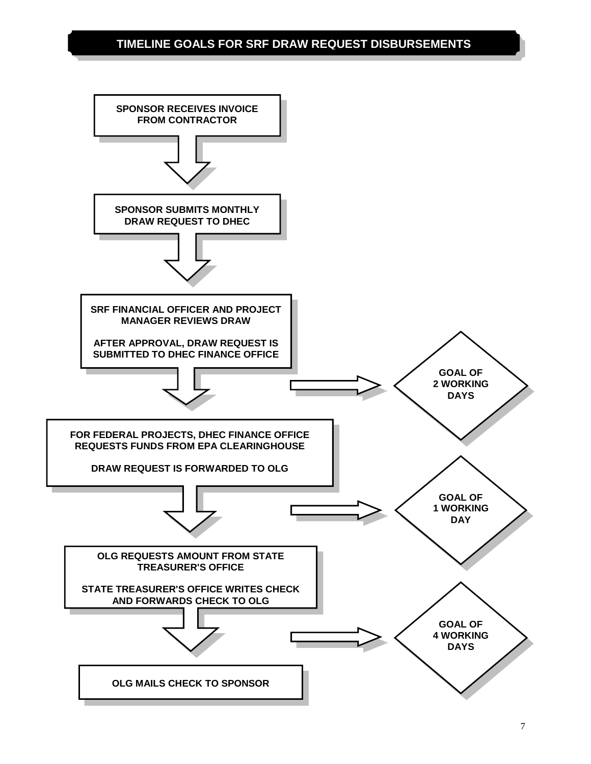### **TIMELINE GOALS FOR SRF DRAW REQUEST DISBURSEMENTS**

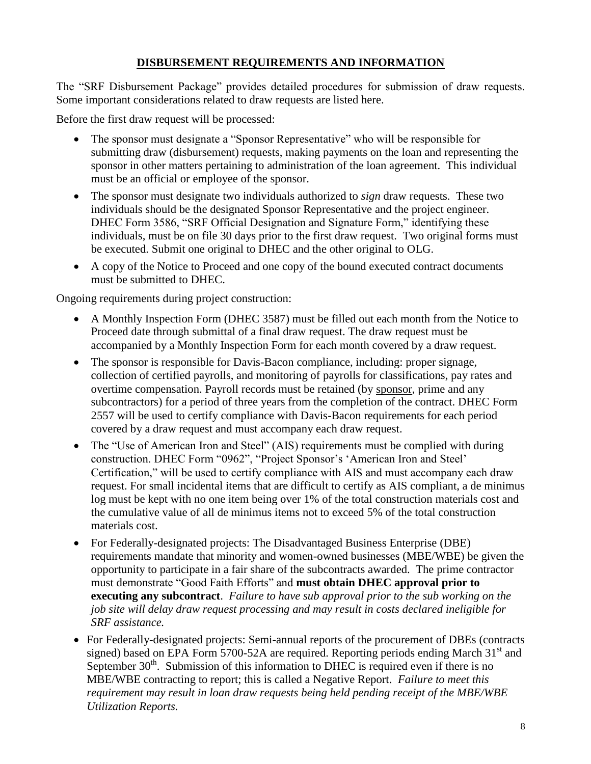#### **DISBURSEMENT REQUIREMENTS AND INFORMATION**

The "SRF Disbursement Package" provides detailed procedures for submission of draw requests. Some important considerations related to draw requests are listed here.

Before the first draw request will be processed:

- The sponsor must designate a "Sponsor Representative" who will be responsible for submitting draw (disbursement) requests, making payments on the loan and representing the sponsor in other matters pertaining to administration of the loan agreement. This individual must be an official or employee of the sponsor.
- The sponsor must designate two individuals authorized to *sign* draw requests. These two individuals should be the designated Sponsor Representative and the project engineer. DHEC Form 3586, "SRF Official Designation and Signature Form," identifying these individuals, must be on file 30 days prior to the first draw request. Two original forms must be executed. Submit one original to DHEC and the other original to OLG.
- A copy of the Notice to Proceed and one copy of the bound executed contract documents must be submitted to DHEC.

Ongoing requirements during project construction:

- A Monthly Inspection Form (DHEC 3587) must be filled out each month from the Notice to Proceed date through submittal of a final draw request. The draw request must be accompanied by a Monthly Inspection Form for each month covered by a draw request.
- The sponsor is responsible for Davis-Bacon compliance, including: proper signage, collection of certified payrolls, and monitoring of payrolls for classifications, pay rates and overtime compensation. Payroll records must be retained (by sponsor, prime and any subcontractors) for a period of three years from the completion of the contract. DHEC Form 2557 will be used to certify compliance with Davis-Bacon requirements for each period covered by a draw request and must accompany each draw request.
- The "Use of American Iron and Steel" (AIS) requirements must be complied with during construction. DHEC Form "0962", "Project Sponsor's 'American Iron and Steel' Certification," will be used to certify compliance with AIS and must accompany each draw request. For small incidental items that are difficult to certify as AIS compliant, a de minimus log must be kept with no one item being over 1% of the total construction materials cost and the cumulative value of all de minimus items not to exceed 5% of the total construction materials cost.
- For Federally-designated projects: The Disadvantaged Business Enterprise (DBE) requirements mandate that minority and women-owned businesses (MBE/WBE) be given the opportunity to participate in a fair share of the subcontracts awarded. The prime contractor must demonstrate "Good Faith Efforts" and **must obtain DHEC approval prior to executing any subcontract**. *Failure to have sub approval prior to the sub working on the job site will delay draw request processing and may result in costs declared ineligible for SRF assistance.*
- For Federally-designated projects: Semi-annual reports of the procurement of DBEs (contracts signed) based on EPA Form 5700-52A are required. Reporting periods ending March  $31<sup>st</sup>$  and September  $30<sup>th</sup>$ . Submission of this information to DHEC is required even if there is no MBE/WBE contracting to report; this is called a Negative Report. *Failure to meet this requirement may result in loan draw requests being held pending receipt of the MBE/WBE Utilization Reports.*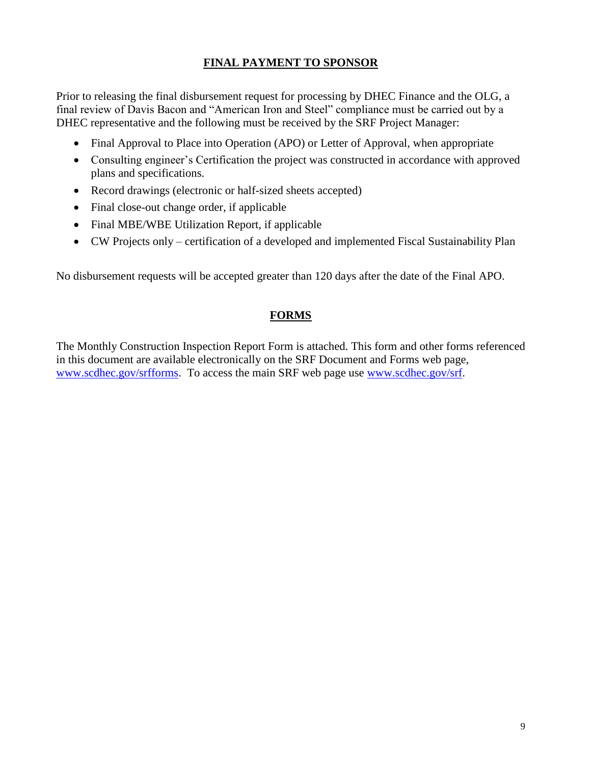#### **FINAL PAYMENT TO SPONSOR**

Prior to releasing the final disbursement request for processing by DHEC Finance and the OLG, a final review of Davis Bacon and "American Iron and Steel" compliance must be carried out by a DHEC representative and the following must be received by the SRF Project Manager:

- Final Approval to Place into Operation (APO) or Letter of Approval, when appropriate
- Consulting engineer's Certification the project was constructed in accordance with approved plans and specifications.
- Record drawings (electronic or half-sized sheets accepted)
- Final close-out change order, if applicable
- Final MBE/WBE Utilization Report, if applicable
- CW Projects only certification of a developed and implemented Fiscal Sustainability Plan

No disbursement requests will be accepted greater than 120 days after the date of the Final APO.

#### **FORMS**

The Monthly Construction Inspection Report Form is attached. This form and other forms referenced in this document are available electronically on the SRF Document and Forms web page, [www.scdhec.gov/srfforms.](http://www.scdhec.gov/srfforms) To access the main SRF web page use [www.scdhec.gov/srf.](http://www.scdhec.gov/srf)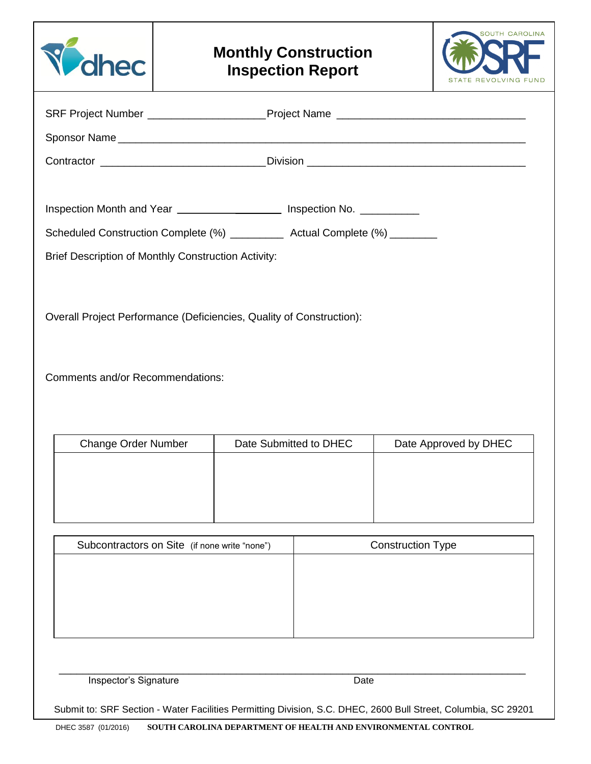



| SRF Project Number _______________________Project Name _________________________                               |                        |                          |
|----------------------------------------------------------------------------------------------------------------|------------------------|--------------------------|
|                                                                                                                |                        |                          |
| Contractor ________________________________Division ____________________________                               |                        |                          |
|                                                                                                                |                        |                          |
| Inspection Month and Year ____________________ Inspection No. __________                                       |                        |                          |
| Scheduled Construction Complete (%) ___________ Actual Complete (%) ________                                   |                        |                          |
| Brief Description of Monthly Construction Activity:                                                            |                        |                          |
|                                                                                                                |                        |                          |
| Overall Project Performance (Deficiencies, Quality of Construction):                                           |                        |                          |
|                                                                                                                |                        |                          |
|                                                                                                                |                        |                          |
| <b>Comments and/or Recommendations:</b>                                                                        |                        |                          |
|                                                                                                                |                        |                          |
|                                                                                                                |                        |                          |
| <b>Change Order Number</b>                                                                                     | Date Submitted to DHEC | Date Approved by DHEC    |
|                                                                                                                |                        |                          |
|                                                                                                                |                        |                          |
|                                                                                                                |                        |                          |
| Subcontractors on Site (if none write "none")                                                                  |                        | <b>Construction Type</b> |
|                                                                                                                |                        |                          |
|                                                                                                                |                        |                          |
|                                                                                                                |                        |                          |
|                                                                                                                |                        |                          |
| Inspector's Signature                                                                                          | Date                   |                          |
|                                                                                                                |                        |                          |
| Submit to: SRF Section - Water Facilities Permitting Division, S.C. DHEC, 2600 Bull Street, Columbia, SC 29201 |                        |                          |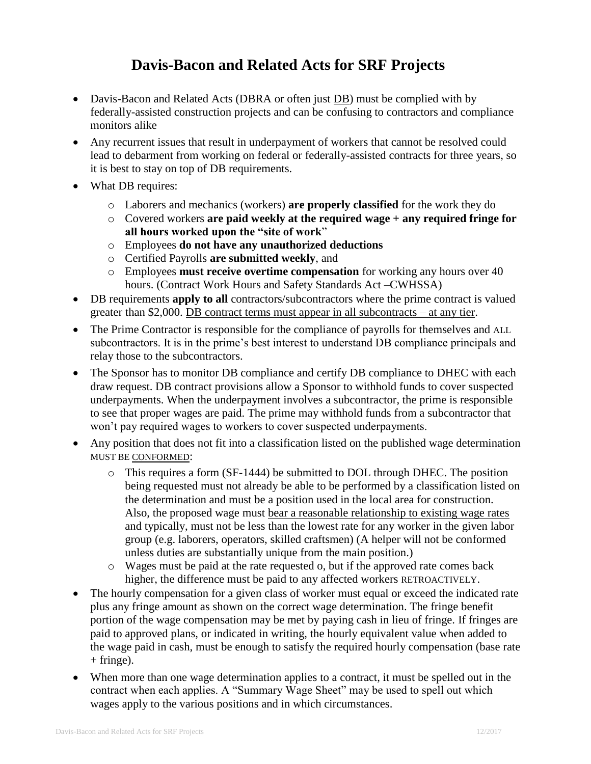# **Davis-Bacon and Related Acts for SRF Projects**

- Davis-Bacon and Related Acts (DBRA or often just DB) must be complied with by federally-assisted construction projects and can be confusing to contractors and compliance monitors alike
- Any recurrent issues that result in underpayment of workers that cannot be resolved could lead to debarment from working on federal or federally-assisted contracts for three years, so it is best to stay on top of DB requirements.
- What DB requires:
	- o Laborers and mechanics (workers) **are properly classified** for the work they do
	- o Covered workers **are paid weekly at the required wage + any required fringe for all hours worked upon the "site of work**"
	- o Employees **do not have any unauthorized deductions**
	- o Certified Payrolls **are submitted weekly**, and
	- o Employees **must receive overtime compensation** for working any hours over 40 hours. (Contract Work Hours and Safety Standards Act –CWHSSA)
- DB requirements **apply to all** contractors/subcontractors where the prime contract is valued greater than \$2,000. DB contract terms must appear in all subcontracts – at any tier.
- The Prime Contractor is responsible for the compliance of payrolls for themselves and ALL subcontractors. It is in the prime's best interest to understand DB compliance principals and relay those to the subcontractors.
- The Sponsor has to monitor DB compliance and certify DB compliance to DHEC with each draw request. DB contract provisions allow a Sponsor to withhold funds to cover suspected underpayments. When the underpayment involves a subcontractor, the prime is responsible to see that proper wages are paid. The prime may withhold funds from a subcontractor that won't pay required wages to workers to cover suspected underpayments.
- Any position that does not fit into a classification listed on the published wage determination MUST BE CONFORMED:
	- $\circ$  This requires a form (SF-1444) be submitted to DOL through DHEC. The position being requested must not already be able to be performed by a classification listed on the determination and must be a position used in the local area for construction. Also, the proposed wage must bear a reasonable relationship to existing wage rates and typically, must not be less than the lowest rate for any worker in the given labor group (e.g. laborers, operators, skilled craftsmen) (A helper will not be conformed unless duties are substantially unique from the main position.)
	- $\circ$  Wages must be paid at the rate requested o, but if the approved rate comes back higher, the difference must be paid to any affected workers RETROACTIVELY.
- The hourly compensation for a given class of worker must equal or exceed the indicated rate plus any fringe amount as shown on the correct wage determination. The fringe benefit portion of the wage compensation may be met by paying cash in lieu of fringe. If fringes are paid to approved plans, or indicated in writing, the hourly equivalent value when added to the wage paid in cash, must be enough to satisfy the required hourly compensation (base rate  $+$  fringe).
- When more than one wage determination applies to a contract, it must be spelled out in the contract when each applies. A "Summary Wage Sheet" may be used to spell out which wages apply to the various positions and in which circumstances.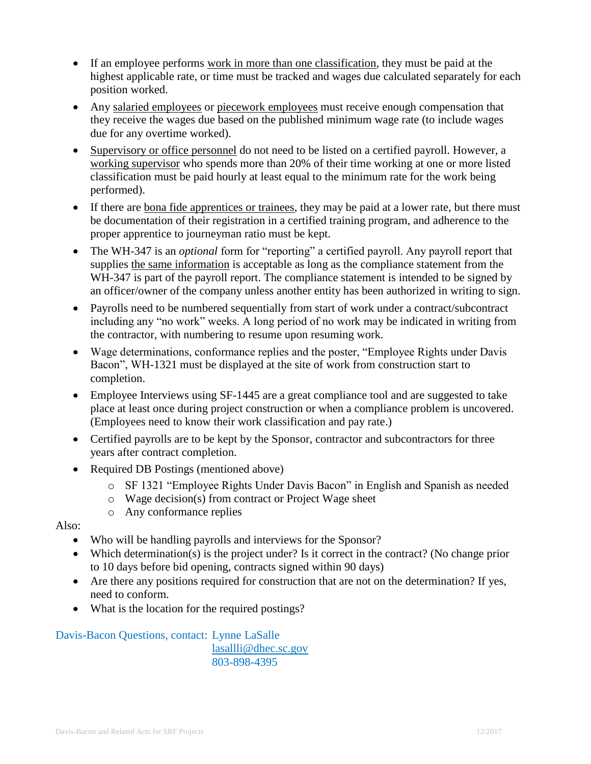- If an employee performs work in more than one classification, they must be paid at the highest applicable rate, or time must be tracked and wages due calculated separately for each position worked.
- Any salaried employees or piecework employees must receive enough compensation that they receive the wages due based on the published minimum wage rate (to include wages due for any overtime worked).
- Supervisory or office personnel do not need to be listed on a certified payroll. However, a working supervisor who spends more than 20% of their time working at one or more listed classification must be paid hourly at least equal to the minimum rate for the work being performed).
- If there are bona fide apprentices or trainees, they may be paid at a lower rate, but there must be documentation of their registration in a certified training program, and adherence to the proper apprentice to journeyman ratio must be kept.
- The WH-347 is an *optional* form for "reporting" a certified payroll. Any payroll report that supplies the same information is acceptable as long as the compliance statement from the WH-347 is part of the payroll report. The compliance statement is intended to be signed by an officer/owner of the company unless another entity has been authorized in writing to sign.
- Payrolls need to be numbered sequentially from start of work under a contract/subcontract including any "no work" weeks. A long period of no work may be indicated in writing from the contractor, with numbering to resume upon resuming work.
- Wage determinations, conformance replies and the poster, "Employee Rights under Davis Bacon", WH-1321 must be displayed at the site of work from construction start to completion.
- Employee Interviews using SF-1445 are a great compliance tool and are suggested to take place at least once during project construction or when a compliance problem is uncovered. (Employees need to know their work classification and pay rate.)
- Certified payrolls are to be kept by the Sponsor, contractor and subcontractors for three years after contract completion.
- Required DB Postings (mentioned above)
	- o SF 1321 "Employee Rights Under Davis Bacon" in English and Spanish as needed
	- o Wage decision(s) from contract or Project Wage sheet
	- o Any conformance replies

Also:

- Who will be handling payrolls and interviews for the Sponsor?
- Which determination(s) is the project under? Is it correct in the contract? (No change prior to 10 days before bid opening, contracts signed within 90 days)
- Are there any positions required for construction that are not on the determination? If yes, need to conform.
- What is the location for the required postings?

## Davis-Bacon Questions, contact: Lynne LaSalle [lasallli@dhec.sc.gov](mailto:lasallli@dhec.sc.gov)

803-898-4395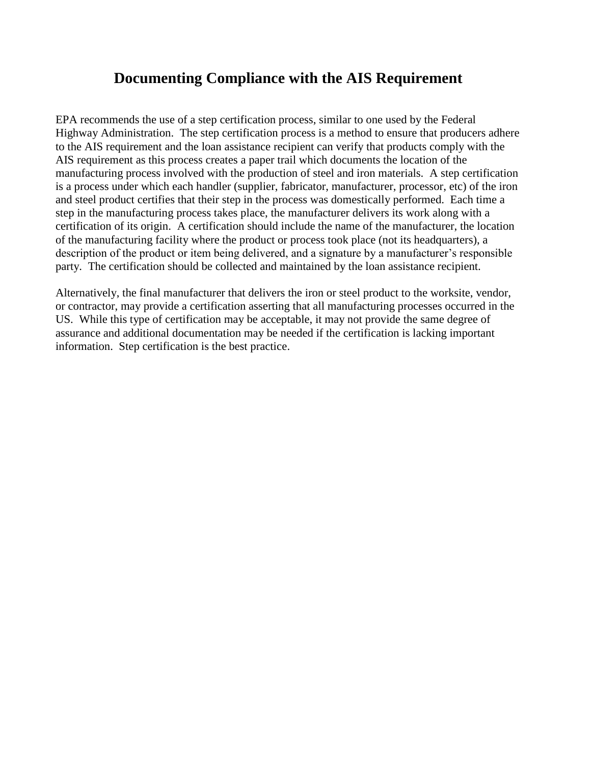# **Documenting Compliance with the AIS Requirement**

EPA recommends the use of a step certification process, similar to one used by the Federal Highway Administration. The step certification process is a method to ensure that producers adhere to the AIS requirement and the loan assistance recipient can verify that products comply with the AIS requirement as this process creates a paper trail which documents the location of the manufacturing process involved with the production of steel and iron materials. A step certification is a process under which each handler (supplier, fabricator, manufacturer, processor, etc) of the iron and steel product certifies that their step in the process was domestically performed. Each time a step in the manufacturing process takes place, the manufacturer delivers its work along with a certification of its origin. A certification should include the name of the manufacturer, the location of the manufacturing facility where the product or process took place (not its headquarters), a description of the product or item being delivered, and a signature by a manufacturer's responsible party. The certification should be collected and maintained by the loan assistance recipient.

Alternatively, the final manufacturer that delivers the iron or steel product to the worksite, vendor, or contractor, may provide a certification asserting that all manufacturing processes occurred in the US. While this type of certification may be acceptable, it may not provide the same degree of assurance and additional documentation may be needed if the certification is lacking important information. Step certification is the best practice.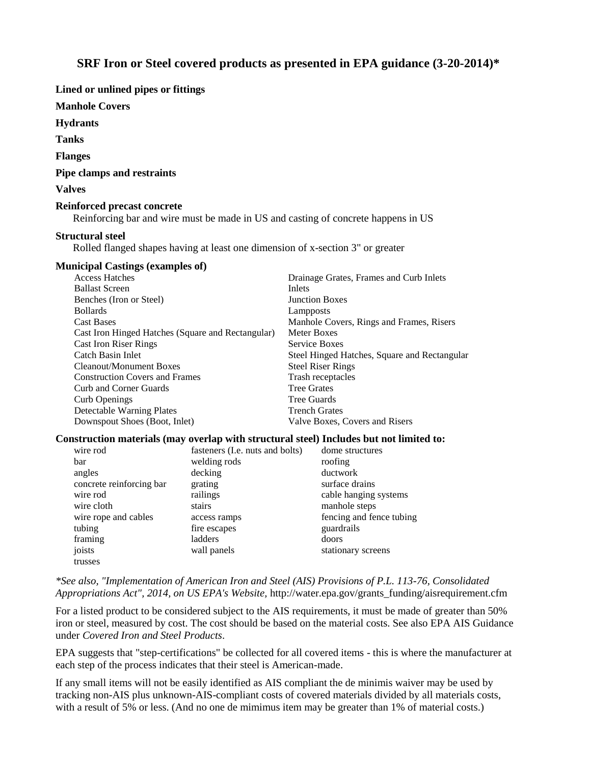#### **SRF Iron or Steel covered products as presented in EPA guidance (3-20-2014)\***

**Lined or unlined pipes or fittings**

**Manhole Covers**

**Hydrants**

**Tanks**

**Flanges**

**Pipe clamps and restraints**

**Valves**

#### **Reinforced precast concrete**

Reinforcing bar and wire must be made in US and casting of concrete happens in US

#### **Structural steel**

Rolled flanged shapes having at least one dimension of x-section 3" or greater

#### **Municipal Castings (examples of)**

| <b>Access Hatches</b>                             | Drainage Grates, Frames and Curb Inlets      |
|---------------------------------------------------|----------------------------------------------|
| <b>Ballast Screen</b>                             | Inlets                                       |
| Benches (Iron or Steel)                           | <b>Junction Boxes</b>                        |
| <b>Bollards</b>                                   | Lampposts                                    |
| <b>Cast Bases</b>                                 | Manhole Covers, Rings and Frames, Risers     |
| Cast Iron Hinged Hatches (Square and Rectangular) | Meter Boxes                                  |
| <b>Cast Iron Riser Rings</b>                      | Service Boxes                                |
| Catch Basin Inlet                                 | Steel Hinged Hatches, Square and Rectangular |
| Cleanout/Monument Boxes                           | <b>Steel Riser Rings</b>                     |
| <b>Construction Covers and Frames</b>             | Trash receptacles                            |
| Curb and Corner Guards                            | <b>Tree Grates</b>                           |
| Curb Openings                                     | Tree Guards                                  |
| Detectable Warning Plates                         | <b>Trench Grates</b>                         |
| Downspout Shoes (Boot, Inlet)                     | Valve Boxes, Covers and Risers               |

#### **Construction materials (may overlap with structural steel) Includes but not limited to:**

| wire rod                 | fasteners (I.e. nuts and bolts) | dome structures          |
|--------------------------|---------------------------------|--------------------------|
| bar                      | welding rods                    | roofing                  |
| angles                   | decking                         | ductwork                 |
| concrete reinforcing bar | grating                         | surface drains           |
| wire rod                 | railings                        | cable hanging systems    |
| wire cloth               | stairs                          | manhole steps            |
| wire rope and cables     | access ramps                    | fencing and fence tubing |
| tubing                   | fire escapes                    | guardrails               |
| framing                  | ladders                         | doors                    |
| joists                   | wall panels                     | stationary screens       |
| trusses                  |                                 |                          |

*\*See also, "Implementation of American Iron and Steel (AIS) Provisions of P.L. 113-76, Consolidated Appropriations Act", 2014, on US EPA's Website,* http://water.epa.gov/grants\_funding/aisrequirement.cfm

For a listed product to be considered subject to the AIS requirements, it must be made of greater than 50% iron or steel, measured by cost. The cost should be based on the material costs. See also EPA AIS Guidance under *Covered Iron and Steel Products*.

EPA suggests that "step-certifications" be collected for all covered items - this is where the manufacturer at each step of the process indicates that their steel is American-made.

If any small items will not be easily identified as AIS compliant the de minimis waiver may be used by tracking non-AIS plus unknown-AIS-compliant costs of covered materials divided by all materials costs, with a result of 5% or less. (And no one de mimimus item may be greater than 1% of material costs.)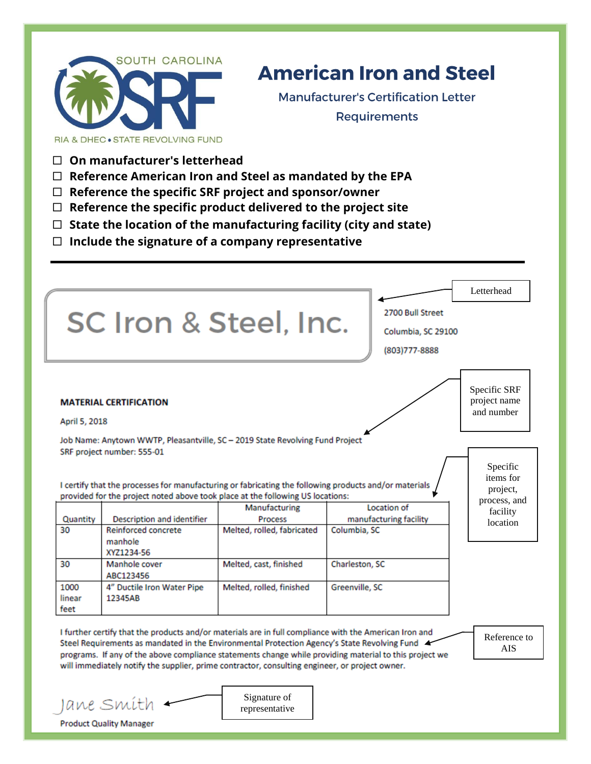

# **American Iron and Steel**

**Manufacturer's Certification Letter Requirements** 

**On manufacturer's letterhead**

Jane Smíth **Product Quality Manager** 

- **Reference American Iron and Steel as mandated by the EPA**
- **Reference the specific SRF project and sponsor/owner**
- **Reference the specific product delivered to the project site**
- **State the location of the manufacturing facility (city and state)**
- **Include the signature of a company representative**

|                        | SC Iron & Steel, Inc.                                                                                                                                                                                                                                                                                    |                                       | 2700 Bull Street<br>Columbia, SC 29100<br>(803) 777-8888                                               | Letterhead                                        |
|------------------------|----------------------------------------------------------------------------------------------------------------------------------------------------------------------------------------------------------------------------------------------------------------------------------------------------------|---------------------------------------|--------------------------------------------------------------------------------------------------------|---------------------------------------------------|
| April 5, 2018          | <b>MATERIAL CERTIFICATION</b>                                                                                                                                                                                                                                                                            |                                       |                                                                                                        | Specific SRF<br>project name<br>and number        |
|                        | Job Name: Anytown WWTP, Pleasantville, SC - 2019 State Revolving Fund Project<br>SRF project number: 555-01<br>I certify that the processes for manufacturing or fabricating the following products and/or materials<br>provided for the project noted above took place at the following US locations:   | Manufacturing                         | Location of                                                                                            | Specific<br>items for<br>project,<br>process, and |
| Quantity<br>30         | Description and identifier<br><b>Reinforced concrete</b><br>manhole<br>XYZ1234-56                                                                                                                                                                                                                        | Process<br>Melted, rolled, fabricated | manufacturing facility<br>Columbia, SC                                                                 | facility<br>location                              |
| 30                     | Manhole cover<br>ABC123456                                                                                                                                                                                                                                                                               | Melted, cast, finished                | Charleston, SC                                                                                         |                                                   |
| 1000<br>linear<br>feet | 4" Ductile Iron Water Pipe<br>12345AB                                                                                                                                                                                                                                                                    | Melted, rolled, finished              | Greenville, SC                                                                                         |                                                   |
|                        | I further certify that the products and/or materials are in full compliance with the American Iron and<br>Steel Requirements as mandated in the Environmental Protection Agency's State Revolving Fund<br>will immediately notify the supplier, prime contractor, consulting engineer, or project owner. |                                       | programs. If any of the above compliance statements change while providing material to this project we | Reference to<br><b>AIS</b>                        |

representative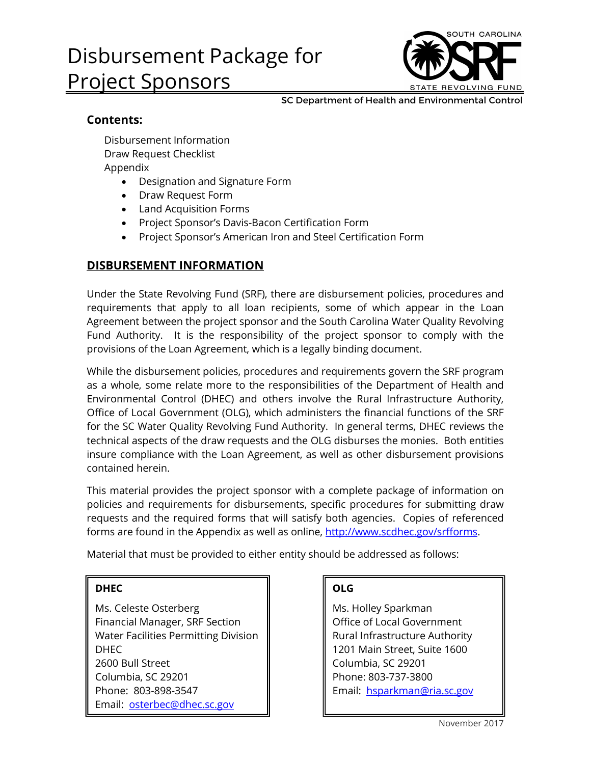# Disbursement Package for Project Sponsors



SC Department of Health and Environmental Control

## **Contents:**

Disbursement Information Draw Request Checklist Appendix

- Designation and Signature Form
- Draw Request Form
- Land Acquisition Forms
- Project Sponsor's Davis-Bacon Certification Form
- Project Sponsor's American Iron and Steel Certification Form

### **DISBURSEMENT INFORMATION**

Under the State Revolving Fund (SRF), there are disbursement policies, procedures and requirements that apply to all loan recipients, some of which appear in the Loan Agreement between the project sponsor and the South Carolina Water Quality Revolving Fund Authority. It is the responsibility of the project sponsor to comply with the provisions of the Loan Agreement, which is a legally binding document.

While the disbursement policies, procedures and requirements govern the SRF program as a whole, some relate more to the responsibilities of the Department of Health and Environmental Control (DHEC) and others involve the Rural Infrastructure Authority, Office of Local Government (OLG), which administers the financial functions of the SRF for the SC Water Quality Revolving Fund Authority. In general terms, DHEC reviews the technical aspects of the draw requests and the OLG disburses the monies. Both entities insure compliance with the Loan Agreement, as well as other disbursement provisions contained herein.

This material provides the project sponsor with a complete package of information on policies and requirements for disbursements, specific procedures for submitting draw requests and the required forms that will satisfy both agencies. Copies of referenced forms are found in the Appendix as well as online, [http://www.scdhec.gov/srfforms.](http://www.scdhec.gov/srfforms)

Material that must be provided to either entity should be addressed as follows:

#### **DHEC**

Ms. Celeste Osterberg Financial Manager, SRF Section Water Facilities Permitting Division DHEC 2600 Bull Street Columbia, SC 29201 Phone: 803-898-3547 Email: [osterbec@dhec.sc.gov](mailto:osterbec@dhec.sc.gov)

### **OLG**

Ms. Holley Sparkman Office of Local Government Rural Infrastructure Authority 1201 Main Street, Suite 1600 Columbia, SC 29201 Phone: 803-737-3800 Email: [hsparkman@ria.sc.gov](mailto:hsparkman@ria.sc.gov)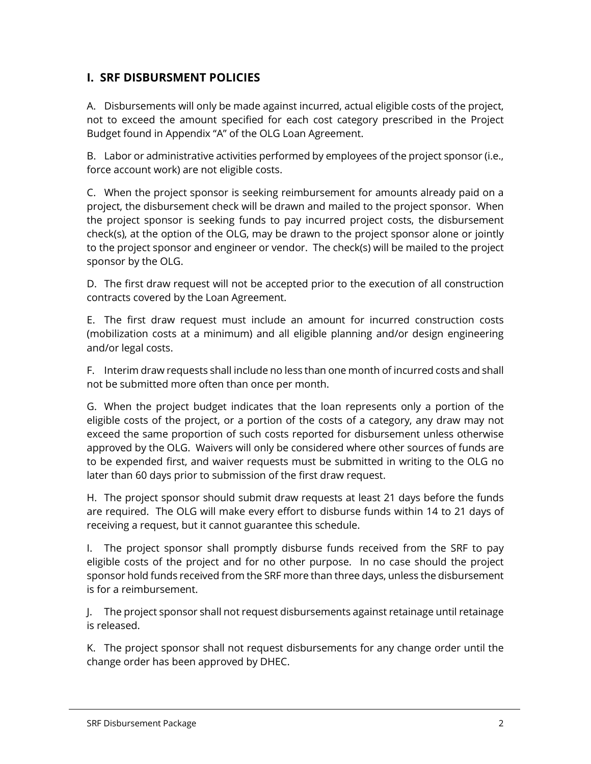## **I. SRF DISBURSMENT POLICIES**

A. Disbursements will only be made against incurred, actual eligible costs of the project, not to exceed the amount specified for each cost category prescribed in the Project Budget found in Appendix "A" of the OLG Loan Agreement.

B. Labor or administrative activities performed by employees of the project sponsor (i.e., force account work) are not eligible costs.

C. When the project sponsor is seeking reimbursement for amounts already paid on a project, the disbursement check will be drawn and mailed to the project sponsor. When the project sponsor is seeking funds to pay incurred project costs, the disbursement check(s), at the option of the OLG, may be drawn to the project sponsor alone or jointly to the project sponsor and engineer or vendor. The check(s) will be mailed to the project sponsor by the OLG.

D. The first draw request will not be accepted prior to the execution of all construction contracts covered by the Loan Agreement.

E. The first draw request must include an amount for incurred construction costs (mobilization costs at a minimum) and all eligible planning and/or design engineering and/or legal costs.

F. Interim draw requests shall include no less than one month of incurred costs and shall not be submitted more often than once per month.

G. When the project budget indicates that the loan represents only a portion of the eligible costs of the project, or a portion of the costs of a category, any draw may not exceed the same proportion of such costs reported for disbursement unless otherwise approved by the OLG. Waivers will only be considered where other sources of funds are to be expended first, and waiver requests must be submitted in writing to the OLG no later than 60 days prior to submission of the first draw request.

H. The project sponsor should submit draw requests at least 21 days before the funds are required. The OLG will make every effort to disburse funds within 14 to 21 days of receiving a request, but it cannot guarantee this schedule.

I. The project sponsor shall promptly disburse funds received from the SRF to pay eligible costs of the project and for no other purpose. In no case should the project sponsor hold funds received from the SRF more than three days, unless the disbursement is for a reimbursement.

J. The project sponsor shall not request disbursements against retainage until retainage is released.

K. The project sponsor shall not request disbursements for any change order until the change order has been approved by DHEC.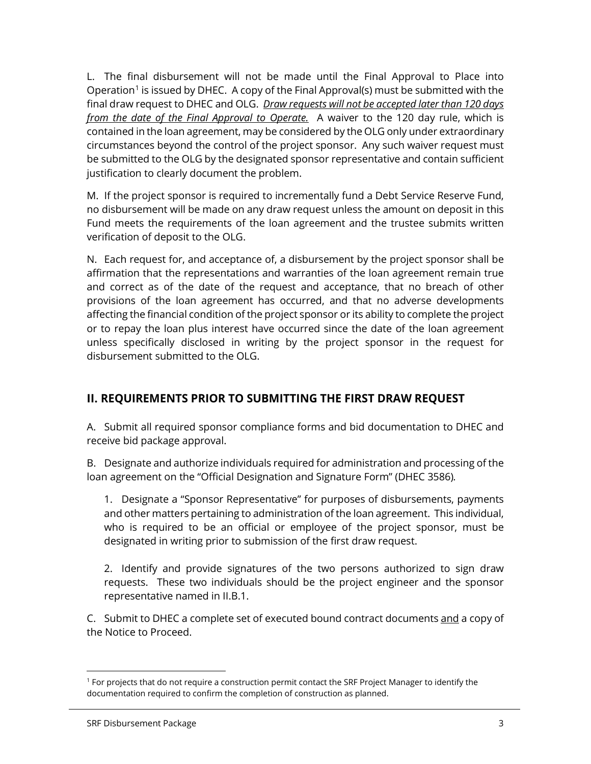L. The final disbursement will not be made until the Final Approval to Place into Operation<sup>[1](#page-18-0)</sup> is issued by DHEC. A copy of the Final Approval(s) must be submitted with the final draw request to DHEC and OLG. *Draw requests will not be accepted later than 120 days from the date of the Final Approval to Operate.* A waiver to the 120 day rule, which is contained in the loan agreement, may be considered by the OLG only under extraordinary circumstances beyond the control of the project sponsor. Any such waiver request must be submitted to the OLG by the designated sponsor representative and contain sufficient justification to clearly document the problem.

M. If the project sponsor is required to incrementally fund a Debt Service Reserve Fund, no disbursement will be made on any draw request unless the amount on deposit in this Fund meets the requirements of the loan agreement and the trustee submits written verification of deposit to the OLG.

N. Each request for, and acceptance of, a disbursement by the project sponsor shall be affirmation that the representations and warranties of the loan agreement remain true and correct as of the date of the request and acceptance, that no breach of other provisions of the loan agreement has occurred, and that no adverse developments affecting the financial condition of the project sponsor or its ability to complete the project or to repay the loan plus interest have occurred since the date of the loan agreement unless specifically disclosed in writing by the project sponsor in the request for disbursement submitted to the OLG.

## **II. REQUIREMENTS PRIOR TO SUBMITTING THE FIRST DRAW REQUEST**

A. Submit all required sponsor compliance forms and bid documentation to DHEC and receive bid package approval.

B. Designate and authorize individuals required for administration and processing of the loan agreement on the "Official Designation and Signature Form" (DHEC 3586)*.*

1. Designate a "Sponsor Representative" for purposes of disbursements, payments and other matters pertaining to administration of the loan agreement. This individual, who is required to be an official or employee of the project sponsor, must be designated in writing prior to submission of the first draw request.

2. Identify and provide signatures of the two persons authorized to sign draw requests. These two individuals should be the project engineer and the sponsor representative named in II.B.1.

C. Submit to DHEC a complete set of executed bound contract documents and a copy of the Notice to Proceed.

<span id="page-18-0"></span> $\overline{a}$ <sup>1</sup> For projects that do not require a construction permit contact the SRF Project Manager to identify the documentation required to confirm the completion of construction as planned.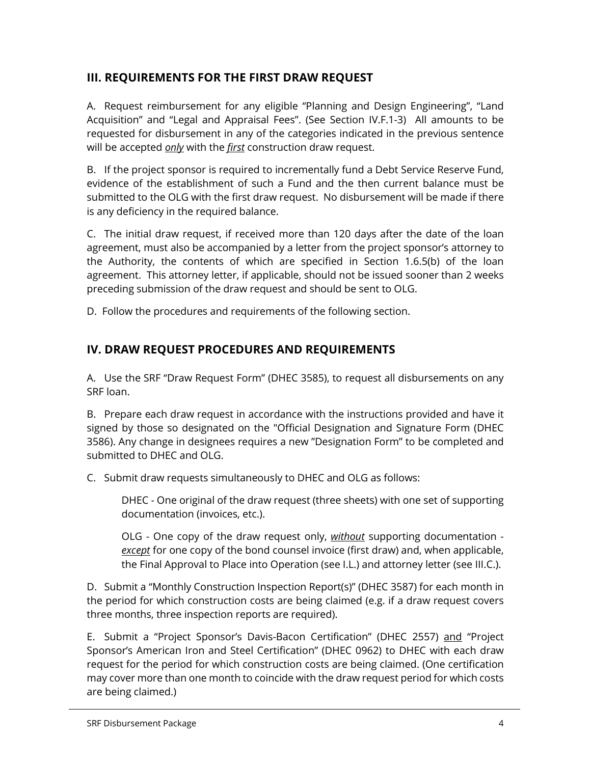## **III. REQUIREMENTS FOR THE FIRST DRAW REQUEST**

A. Request reimbursement for any eligible "Planning and Design Engineering", "Land Acquisition" and "Legal and Appraisal Fees". (See Section IV.F.1-3) All amounts to be requested for disbursement in any of the categories indicated in the previous sentence will be accepted *only* with the *first* construction draw request.

B. If the project sponsor is required to incrementally fund a Debt Service Reserve Fund, evidence of the establishment of such a Fund and the then current balance must be submitted to the OLG with the first draw request. No disbursement will be made if there is any deficiency in the required balance.

C. The initial draw request, if received more than 120 days after the date of the loan agreement, must also be accompanied by a letter from the project sponsor's attorney to the Authority, the contents of which are specified in Section 1.6.5(b) of the loan agreement. This attorney letter, if applicable, should not be issued sooner than 2 weeks preceding submission of the draw request and should be sent to OLG.

D. Follow the procedures and requirements of the following section.

## **IV. DRAW REQUEST PROCEDURES AND REQUIREMENTS**

A. Use the SRF "Draw Request Form" (DHEC 3585), to request all disbursements on any SRF loan.

B. Prepare each draw request in accordance with the instructions provided and have it signed by those so designated on the "Official Designation and Signature Form (DHEC 3586). Any change in designees requires a new "Designation Form" to be completed and submitted to DHEC and OLG.

C. Submit draw requests simultaneously to DHEC and OLG as follows:

DHEC - One original of the draw request (three sheets) with one set of supporting documentation (invoices, etc.).

OLG - One copy of the draw request only, *without* supporting documentation *except* for one copy of the bond counsel invoice (first draw) and, when applicable, the Final Approval to Place into Operation (see I.L.) and attorney letter (see III.C.).

D. Submit a "Monthly Construction Inspection Report(s)" (DHEC 3587) for each month in the period for which construction costs are being claimed (e.g. if a draw request covers three months, three inspection reports are required).

E. Submit a "Project Sponsor's Davis-Bacon Certification" (DHEC 2557) and "Project Sponsor's American Iron and Steel Certification" (DHEC 0962) to DHEC with each draw request for the period for which construction costs are being claimed. (One certification may cover more than one month to coincide with the draw request period for which costs are being claimed.)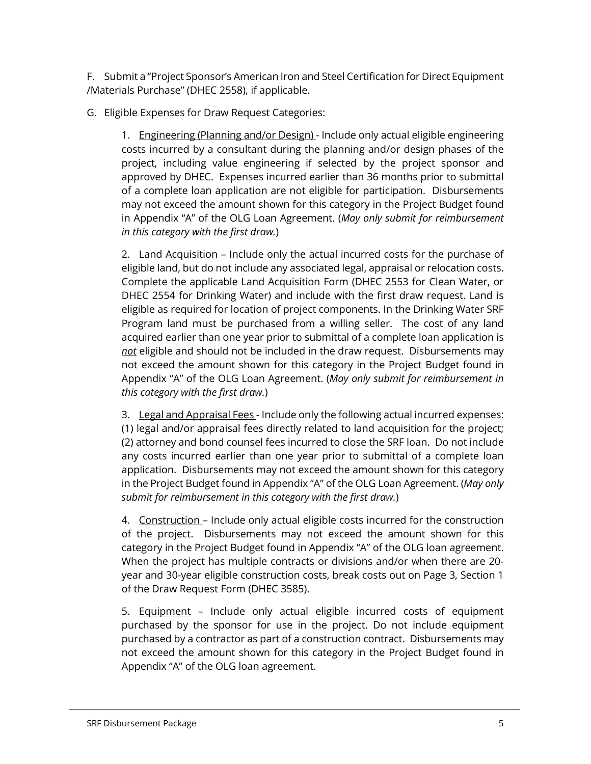F. Submit a "Project Sponsor's American Iron and Steel Certification for Direct Equipment /Materials Purchase" (DHEC 2558), if applicable.

G. Eligible Expenses for Draw Request Categories:

1. Engineering (Planning and/or Design) - Include only actual eligible engineering costs incurred by a consultant during the planning and/or design phases of the project, including value engineering if selected by the project sponsor and approved by DHEC. Expenses incurred earlier than 36 months prior to submittal of a complete loan application are not eligible for participation. Disbursements may not exceed the amount shown for this category in the Project Budget found in Appendix "A" of the OLG Loan Agreement. (*May only submit for reimbursement in this category with the first draw.*)

2. Land Acquisition - Include only the actual incurred costs for the purchase of eligible land, but do not include any associated legal, appraisal or relocation costs. Complete the applicable Land Acquisition Form (DHEC 2553 for Clean Water, or DHEC 2554 for Drinking Water) and include with the first draw request. Land is eligible as required for location of project components. In the Drinking Water SRF Program land must be purchased from a willing seller. The cost of any land acquired earlier than one year prior to submittal of a complete loan application is *not* eligible and should not be included in the draw request. Disbursements may not exceed the amount shown for this category in the Project Budget found in Appendix "A" of the OLG Loan Agreement. (*May only submit for reimbursement in this category with the first draw.*)

3. Legal and Appraisal Fees - Include only the following actual incurred expenses: (1) legal and/or appraisal fees directly related to land acquisition for the project; (2) attorney and bond counsel fees incurred to close the SRF loan. Do not include any costs incurred earlier than one year prior to submittal of a complete loan application. Disbursements may not exceed the amount shown for this category in the Project Budget found in Appendix "A" of the OLG Loan Agreement. (*May only submit for reimbursement in this category with the first draw.*)

4. Construction - Include only actual eligible costs incurred for the construction of the project. Disbursements may not exceed the amount shown for this category in the Project Budget found in Appendix "A" of the OLG loan agreement. When the project has multiple contracts or divisions and/or when there are 20 year and 30-year eligible construction costs, break costs out on Page 3, Section 1 of the Draw Request Form (DHEC 3585).

5. Equipment - Include only actual eligible incurred costs of equipment purchased by the sponsor for use in the project. Do not include equipment purchased by a contractor as part of a construction contract. Disbursements may not exceed the amount shown for this category in the Project Budget found in Appendix "A" of the OLG loan agreement.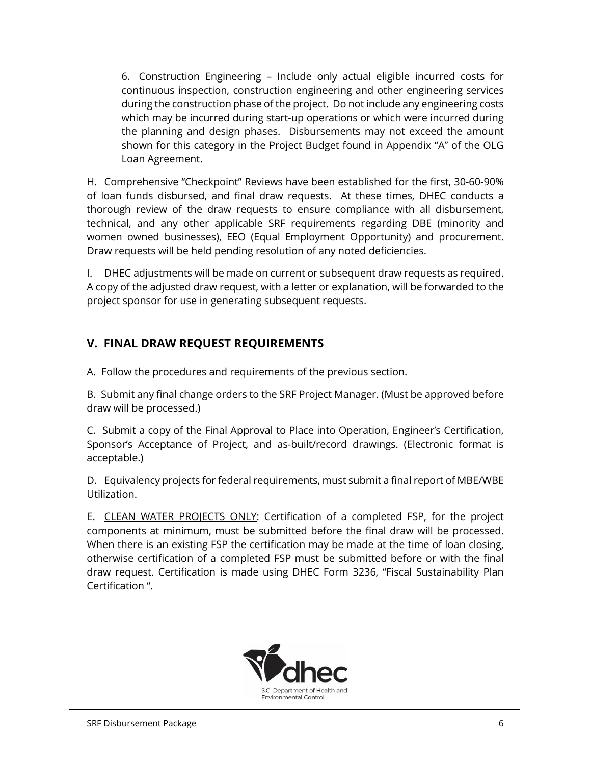6. Construction Engineering – Include only actual eligible incurred costs for continuous inspection, construction engineering and other engineering services during the construction phase of the project. Do not include any engineering costs which may be incurred during start-up operations or which were incurred during the planning and design phases. Disbursements may not exceed the amount shown for this category in the Project Budget found in Appendix "A" of the OLG Loan Agreement.

H. Comprehensive "Checkpoint" Reviews have been established for the first, 30-60-90% of loan funds disbursed, and final draw requests. At these times, DHEC conducts a thorough review of the draw requests to ensure compliance with all disbursement, technical, and any other applicable SRF requirements regarding DBE (minority and women owned businesses), EEO (Equal Employment Opportunity) and procurement. Draw requests will be held pending resolution of any noted deficiencies.

I. DHEC adjustments will be made on current or subsequent draw requests as required. A copy of the adjusted draw request, with a letter or explanation, will be forwarded to the project sponsor for use in generating subsequent requests.

## **V. FINAL DRAW REQUEST REQUIREMENTS**

A. Follow the procedures and requirements of the previous section.

B. Submit any final change orders to the SRF Project Manager. (Must be approved before draw will be processed.)

C. Submit a copy of the Final Approval to Place into Operation, Engineer's Certification, Sponsor's Acceptance of Project, and as-built/record drawings. (Electronic format is acceptable.)

D. Equivalency projects for federal requirements, must submit a final report of MBE/WBE Utilization.

E. CLEAN WATER PROJECTS ONLY: Certification of a completed FSP, for the project components at minimum, must be submitted before the final draw will be processed. When there is an existing FSP the certification may be made at the time of loan closing, otherwise certification of a completed FSP must be submitted before or with the final draw request. Certification is made using DHEC Form 3236, "Fiscal Sustainability Plan Certification ".

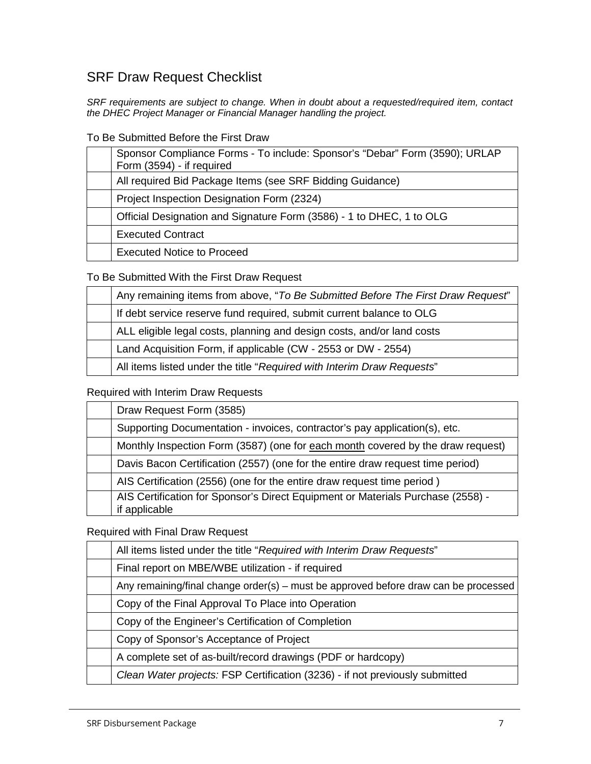# SRF Draw Request Checklist

*SRF requirements are subject to change. When in doubt about a requested/required item, contact the DHEC Project Manager or Financial Manager handling the project.*

To Be Submitted Before the First Draw

| Sponsor Compliance Forms - To include: Sponsor's "Debar" Form (3590); URLAP<br>Form (3594) - if required |
|----------------------------------------------------------------------------------------------------------|
| All required Bid Package Items (see SRF Bidding Guidance)                                                |
| Project Inspection Designation Form (2324)                                                               |
| Official Designation and Signature Form (3586) - 1 to DHEC, 1 to OLG                                     |
| <b>Executed Contract</b>                                                                                 |
| <b>Executed Notice to Proceed</b>                                                                        |

To Be Submitted With the First Draw Request

| Any remaining items from above, "To Be Submitted Before The First Draw Request" |
|---------------------------------------------------------------------------------|
| If debt service reserve fund required, submit current balance to OLG            |
| ALL eligible legal costs, planning and design costs, and/or land costs          |
| Land Acquisition Form, if applicable (CW - 2553 or DW - 2554)                   |
| All items listed under the title "Required with Interim Draw Requests"          |

Required with Interim Draw Requests

| Draw Request Form (3585)                                                                         |
|--------------------------------------------------------------------------------------------------|
| Supporting Documentation - invoices, contractor's pay application(s), etc.                       |
| Monthly Inspection Form (3587) (one for each month covered by the draw request)                  |
| Davis Bacon Certification (2557) (one for the entire draw request time period)                   |
| AIS Certification (2556) (one for the entire draw request time period)                           |
| AIS Certification for Sponsor's Direct Equipment or Materials Purchase (2558) -<br>if applicable |

Required with Final Draw Request

| All items listed under the title "Required with Interim Draw Requests"              |
|-------------------------------------------------------------------------------------|
| Final report on MBE/WBE utilization - if required                                   |
| Any remaining/final change order(s) – must be approved before draw can be processed |
| Copy of the Final Approval To Place into Operation                                  |
| Copy of the Engineer's Certification of Completion                                  |
| Copy of Sponsor's Acceptance of Project                                             |
| A complete set of as-built/record drawings (PDF or hardcopy)                        |
| Clean Water projects: FSP Certification (3236) - if not previously submitted        |
|                                                                                     |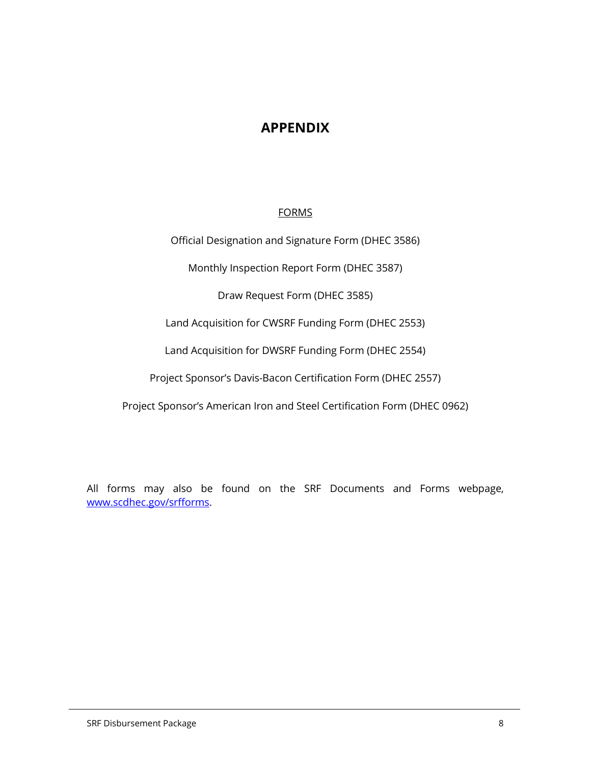## **APPENDIX**

#### FORMS

Official Designation and Signature Form (DHEC 3586)

Monthly Inspection Report Form (DHEC 3587)

Draw Request Form (DHEC 3585)

Land Acquisition for CWSRF Funding Form (DHEC 2553)

Land Acquisition for DWSRF Funding Form (DHEC 2554)

Project Sponsor's Davis-Bacon Certification Form (DHEC 2557)

Project Sponsor's American Iron and Steel Certification Form (DHEC 0962)

All forms may also be found on the SRF Documents and Forms webpage, [www.scdhec.gov/srfforms.](http://www.scdhec.gov/srfforms)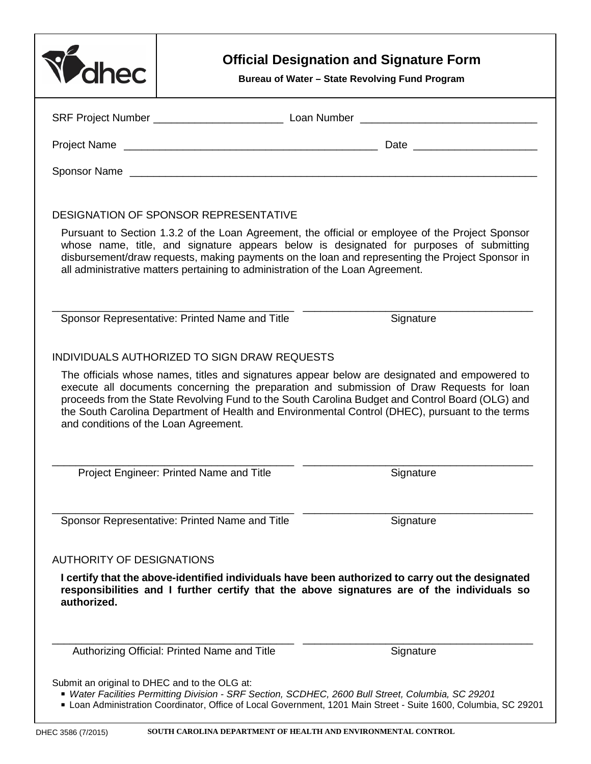| <b>Ahec</b>                                   |                                                                                                    | <b>Official Designation and Signature Form</b><br>Bureau of Water - State Revolving Fund Program                                                                                                                                                                                               |
|-----------------------------------------------|----------------------------------------------------------------------------------------------------|------------------------------------------------------------------------------------------------------------------------------------------------------------------------------------------------------------------------------------------------------------------------------------------------|
|                                               |                                                                                                    |                                                                                                                                                                                                                                                                                                |
|                                               |                                                                                                    |                                                                                                                                                                                                                                                                                                |
|                                               |                                                                                                    |                                                                                                                                                                                                                                                                                                |
|                                               | DESIGNATION OF SPONSOR REPRESENTATIVE                                                              |                                                                                                                                                                                                                                                                                                |
|                                               | all administrative matters pertaining to administration of the Loan Agreement.                     | Pursuant to Section 1.3.2 of the Loan Agreement, the official or employee of the Project Sponsor<br>whose name, title, and signature appears below is designated for purposes of submitting<br>disbursement/draw requests, making payments on the loan and representing the Project Sponsor in |
|                                               | Sponsor Representative: Printed Name and Title                                                     | Signature                                                                                                                                                                                                                                                                                      |
| and conditions of the Loan Agreement.         |                                                                                                    | proceeds from the State Revolving Fund to the South Carolina Budget and Control Board (OLG) and<br>the South Carolina Department of Health and Environmental Control (DHEC), pursuant to the terms                                                                                             |
|                                               | Project Engineer: Printed Name and Title                                                           | Signature                                                                                                                                                                                                                                                                                      |
|                                               | Sponsor Representative: Printed Name and Title                                                     | Signature                                                                                                                                                                                                                                                                                      |
| <b>AUTHORITY OF DESIGNATIONS</b>              |                                                                                                    |                                                                                                                                                                                                                                                                                                |
| authorized.                                   |                                                                                                    | I certify that the above-identified individuals have been authorized to carry out the designated<br>responsibilities and I further certify that the above signatures are of the individuals so                                                                                                 |
|                                               | Authorizing Official: Printed Name and Title                                                       | Signature                                                                                                                                                                                                                                                                                      |
| Submit an original to DHEC and to the OLG at: | * Water Facilities Permitting Division - SRF Section, SCDHEC, 2600 Bull Street, Columbia, SC 29201 | Loan Administration Coordinator, Office of Local Government, 1201 Main Street - Suite 1600, Columbia, SC 29201                                                                                                                                                                                 |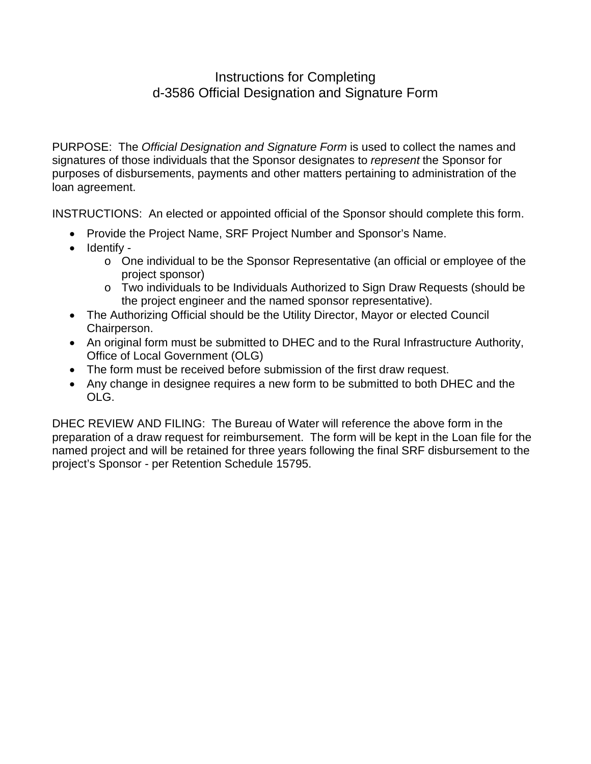## Instructions for Completing d-3586 Official Designation and Signature Form

PURPOSE: The *Official Designation and Signature Form* is used to collect the names and signatures of those individuals that the Sponsor designates to *represent* the Sponsor for purposes of disbursements, payments and other matters pertaining to administration of the loan agreement.

INSTRUCTIONS: An elected or appointed official of the Sponsor should complete this form.

- Provide the Project Name, SRF Project Number and Sponsor's Name.
- Identify
	- o One individual to be the Sponsor Representative (an official or employee of the project sponsor)
	- o Two individuals to be Individuals Authorized to Sign Draw Requests (should be the project engineer and the named sponsor representative).
- The Authorizing Official should be the Utility Director, Mayor or elected Council Chairperson.
- An original form must be submitted to DHEC and to the Rural Infrastructure Authority, Office of Local Government (OLG)
- The form must be received before submission of the first draw request.
- Any change in designee requires a new form to be submitted to both DHEC and the OLG.

DHEC REVIEW AND FILING: The Bureau of Water will reference the above form in the preparation of a draw request for reimbursement. The form will be kept in the Loan file for the named project and will be retained for three years following the final SRF disbursement to the project's Sponsor - per Retention Schedule 15795.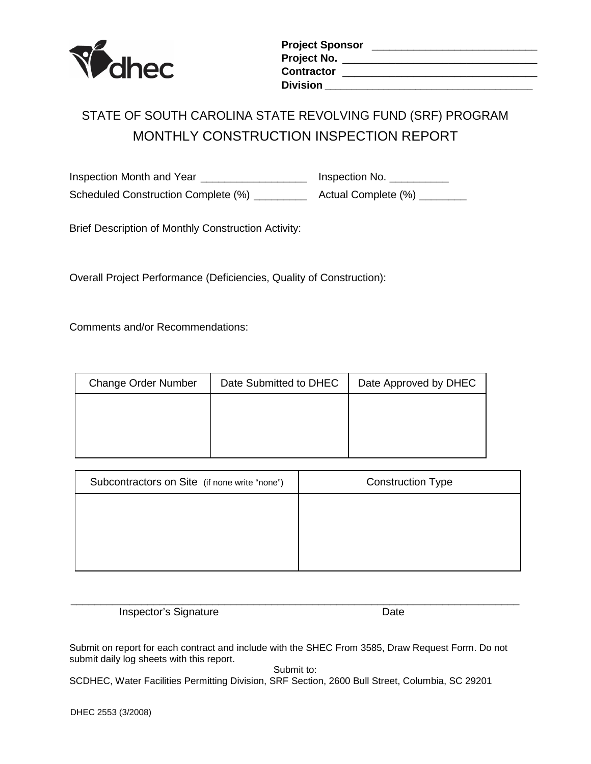

| <b>Project Sponsor</b> |  |
|------------------------|--|
| Project No.            |  |
| Contractor             |  |
| Division               |  |

# STATE OF SOUTH CAROLINA STATE REVOLVING FUND (SRF) PROGRAM MONTHLY CONSTRUCTION INSPECTION REPORT

Inspection Month and Year \_\_\_\_\_\_\_\_\_\_\_\_\_\_\_\_\_\_\_\_\_\_\_ Inspection No. \_\_\_\_\_\_\_\_\_\_ Scheduled Construction Complete (%) \_\_\_\_\_\_\_\_\_\_\_ Actual Complete (%) \_\_\_\_\_\_\_\_

Brief Description of Monthly Construction Activity:

Overall Project Performance (Deficiencies, Quality of Construction):

Comments and/or Recommendations:

| <b>Change Order Number</b> | Date Submitted to DHEC | Date Approved by DHEC |
|----------------------------|------------------------|-----------------------|
|                            |                        |                       |
|                            |                        |                       |
|                            |                        |                       |

| Subcontractors on Site (if none write "none") | <b>Construction Type</b> |
|-----------------------------------------------|--------------------------|
|                                               |                          |
|                                               |                          |
|                                               |                          |
|                                               |                          |

\_\_\_\_\_\_\_\_\_\_\_\_\_\_\_\_\_\_\_\_\_\_\_\_\_\_\_\_\_\_\_\_\_\_\_\_\_\_\_\_\_\_\_\_\_\_\_\_\_\_\_\_\_\_\_\_\_\_\_\_\_\_\_\_\_\_\_\_\_\_\_\_\_\_\_\_ Inspector's Signature Date

Submit on report for each contract and include with the SHEC From 3585, Draw Request Form. Do not submit daily log sheets with this report.

Submit to:

SCDHEC, Water Facilities Permitting Division, SRF Section, 2600 Bull Street, Columbia, SC 29201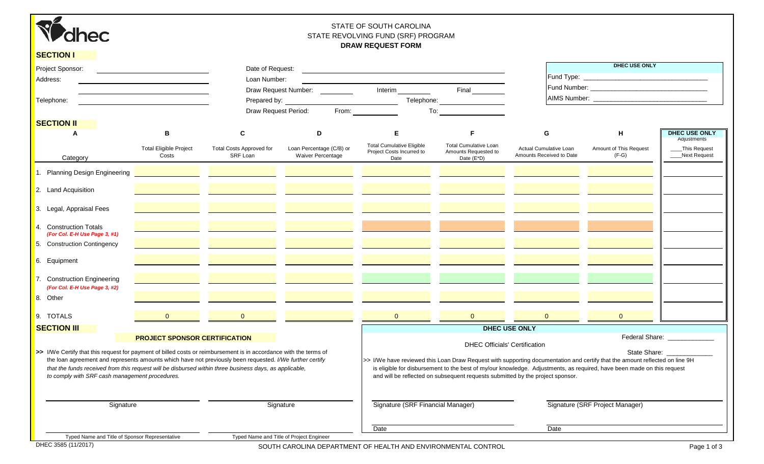

#### STATE OF SOUTH CAROLINA STATE REVOLVING FUND (SRF) PROGRAM **DRAW REQUEST FORM**

| <b>SECTION I</b>                                                                                                                                                                                                                                                     |                                      |                                                             |                             |                                                                                                                                                                                                                                |                                                                                                                                                                                                                                |                                                                                                                                                                                                                                                       | <b>DHEC USE ONLY</b>            |                                     |
|----------------------------------------------------------------------------------------------------------------------------------------------------------------------------------------------------------------------------------------------------------------------|--------------------------------------|-------------------------------------------------------------|-----------------------------|--------------------------------------------------------------------------------------------------------------------------------------------------------------------------------------------------------------------------------|--------------------------------------------------------------------------------------------------------------------------------------------------------------------------------------------------------------------------------|-------------------------------------------------------------------------------------------------------------------------------------------------------------------------------------------------------------------------------------------------------|---------------------------------|-------------------------------------|
| Project Sponsor:                                                                                                                                                                                                                                                     |                                      | Date of Request:                                            |                             | <u> 1989 - Jan Barat, margaret eta idazlea (h. 1989).</u>                                                                                                                                                                      |                                                                                                                                                                                                                                |                                                                                                                                                                                                                                                       |                                 |                                     |
| Address:                                                                                                                                                                                                                                                             |                                      | Loan Number:                                                |                             |                                                                                                                                                                                                                                |                                                                                                                                                                                                                                |                                                                                                                                                                                                                                                       |                                 |                                     |
|                                                                                                                                                                                                                                                                      |                                      |                                                             |                             |                                                                                                                                                                                                                                |                                                                                                                                                                                                                                |                                                                                                                                                                                                                                                       |                                 |                                     |
| Telephone:                                                                                                                                                                                                                                                           |                                      |                                                             |                             |                                                                                                                                                                                                                                |                                                                                                                                                                                                                                |                                                                                                                                                                                                                                                       |                                 |                                     |
|                                                                                                                                                                                                                                                                      |                                      |                                                             | <b>Draw Request Period:</b> | From: The Contract of the Contract of the Contract of the Contract of the Contract of the Contract of the Contract of the Contract of the Contract of the Contract of the Contract of the Contract of the Contract of the Cont | To: the contract of the contract of the contract of the contract of the contract of the contract of the contract of the contract of the contract of the contract of the contract of the contract of the contract of the contra |                                                                                                                                                                                                                                                       |                                 |                                     |
| <b>SECTION II</b>                                                                                                                                                                                                                                                    |                                      |                                                             |                             |                                                                                                                                                                                                                                |                                                                                                                                                                                                                                |                                                                                                                                                                                                                                                       |                                 |                                     |
| A                                                                                                                                                                                                                                                                    | B                                    | C                                                           | D                           | $\mathsf E$                                                                                                                                                                                                                    | F                                                                                                                                                                                                                              | G                                                                                                                                                                                                                                                     | H                               | <b>DHEC USE ONLY</b><br>Adjustments |
|                                                                                                                                                                                                                                                                      | <b>Total Eligible Project</b>        | <b>Total Costs Approved for</b>                             | Loan Percentage (C/B) or    | <b>Total Cumulative Eligible</b>                                                                                                                                                                                               | <b>Total Cumulative Loan</b>                                                                                                                                                                                                   | Actual Cumulative Loan                                                                                                                                                                                                                                | Amount of This Request          | _This Request                       |
| Category                                                                                                                                                                                                                                                             | Costs                                | SRF Loan                                                    | <b>Waiver Percentage</b>    | Project Costs Incurred to<br>Date                                                                                                                                                                                              | Amounts Requested to<br>Date $(E^*D)$                                                                                                                                                                                          | Amounts Received to Date                                                                                                                                                                                                                              | $(F-G)$                         | ___Next Request                     |
| 1. Planning Design Engineering                                                                                                                                                                                                                                       |                                      | <u> 1989 - Andrea Stadt Britain, amerikansk politiker (</u> |                             |                                                                                                                                                                                                                                |                                                                                                                                                                                                                                |                                                                                                                                                                                                                                                       |                                 |                                     |
| 2. Land Acquisition                                                                                                                                                                                                                                                  |                                      |                                                             |                             |                                                                                                                                                                                                                                |                                                                                                                                                                                                                                |                                                                                                                                                                                                                                                       |                                 |                                     |
| 3. Legal, Appraisal Fees                                                                                                                                                                                                                                             |                                      |                                                             |                             |                                                                                                                                                                                                                                |                                                                                                                                                                                                                                |                                                                                                                                                                                                                                                       |                                 |                                     |
| 4. Construction Totals<br>(For Col. E-H Use Page 3, #1)                                                                                                                                                                                                              |                                      |                                                             |                             |                                                                                                                                                                                                                                |                                                                                                                                                                                                                                |                                                                                                                                                                                                                                                       |                                 |                                     |
| 5. Construction Contingency                                                                                                                                                                                                                                          |                                      |                                                             |                             |                                                                                                                                                                                                                                |                                                                                                                                                                                                                                |                                                                                                                                                                                                                                                       |                                 |                                     |
| 6. Equipment                                                                                                                                                                                                                                                         |                                      |                                                             |                             |                                                                                                                                                                                                                                |                                                                                                                                                                                                                                |                                                                                                                                                                                                                                                       |                                 |                                     |
| 7. Construction Engineering<br>(For Col. E-H Use Page 3, #2)                                                                                                                                                                                                         |                                      |                                                             |                             |                                                                                                                                                                                                                                |                                                                                                                                                                                                                                |                                                                                                                                                                                                                                                       |                                 |                                     |
| 8. Other                                                                                                                                                                                                                                                             |                                      |                                                             |                             |                                                                                                                                                                                                                                |                                                                                                                                                                                                                                |                                                                                                                                                                                                                                                       |                                 |                                     |
| 9. TOTALS                                                                                                                                                                                                                                                            | $\overline{0}$                       | $\overline{0}$                                              |                             | $\begin{array}{ c c c }\n\hline\n0 & \multicolumn{1}{ c }{\phantom{ }}\n\hline\n\end{array}$                                                                                                                                   | $\overline{0}$                                                                                                                                                                                                                 | $\overline{0}$                                                                                                                                                                                                                                        | $\overline{0}$                  |                                     |
| <b>SECTION III</b>                                                                                                                                                                                                                                                   |                                      |                                                             |                             |                                                                                                                                                                                                                                |                                                                                                                                                                                                                                | DHEC USE ONLY                                                                                                                                                                                                                                         |                                 |                                     |
| >> I/We Certify that this request for payment of billed costs or reimbursement is in accordance with the terms of                                                                                                                                                    | <b>PROJECT SPONSOR CERTIFICATION</b> |                                                             |                             |                                                                                                                                                                                                                                | <b>DHEC Officials' Certification</b>                                                                                                                                                                                           |                                                                                                                                                                                                                                                       | State Share:                    | Federal Share: _____________        |
| the loan agreement and represents amounts which have not previously been requested. I/We further certify<br>that the funds received from this request will be disbursed within three business days, as applicable,<br>to comply with SRF cash management procedures. |                                      |                                                             |                             |                                                                                                                                                                                                                                | and will be reflected on subsequent requests submitted by the project sponsor.                                                                                                                                                 | >> I/We have reviewed this Loan Draw Request with supporting documentation and certify that the amount reflected on line 9H<br>is eligible for disbursement to the best of my/our knowledge. Adjustments, as required, have been made on this request |                                 |                                     |
| Signature                                                                                                                                                                                                                                                            |                                      | Signature                                                   |                             | Signature (SRF Financial Manager)                                                                                                                                                                                              |                                                                                                                                                                                                                                |                                                                                                                                                                                                                                                       | Signature (SRF Project Manager) |                                     |
|                                                                                                                                                                                                                                                                      |                                      |                                                             |                             | Date                                                                                                                                                                                                                           |                                                                                                                                                                                                                                | Date                                                                                                                                                                                                                                                  |                                 |                                     |
| Typed Name and Title of Sponsor Representative                                                                                                                                                                                                                       |                                      | Typed Name and Title of Project Engineer                    |                             |                                                                                                                                                                                                                                |                                                                                                                                                                                                                                |                                                                                                                                                                                                                                                       |                                 |                                     |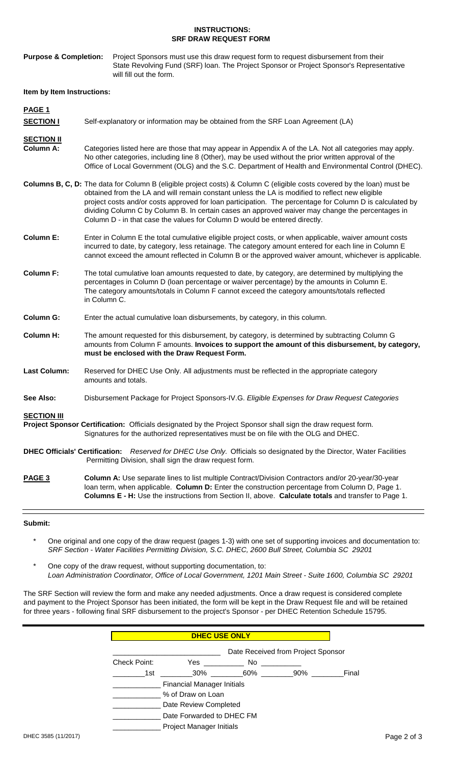#### **INSTRUCTIONS: SRF DRAW REQUEST FORM**

| <b>Purpose &amp; Completion:</b> | Project Sponsors must use this draw request form to request disbursement from their      |
|----------------------------------|------------------------------------------------------------------------------------------|
|                                  | State Revolving Fund (SRF) loan. The Project Sponsor or Project Sponsor's Representative |
|                                  | will fill out the form.                                                                  |

#### **Item by Item Instructions:**

| PAGE <sub>1</sub><br><b>SECTION I</b> | Self-explanatory or information may be obtained from the SRF Loan Agreement (LA)                                                                                                                                                                                                                                                                                                                                                                                                                                                |
|---------------------------------------|---------------------------------------------------------------------------------------------------------------------------------------------------------------------------------------------------------------------------------------------------------------------------------------------------------------------------------------------------------------------------------------------------------------------------------------------------------------------------------------------------------------------------------|
| <b>SECTION II</b><br>Column A:        | Categories listed here are those that may appear in Appendix A of the LA. Not all categories may apply.<br>No other categories, including line 8 (Other), may be used without the prior written approval of the<br>Office of Local Government (OLG) and the S.C. Department of Health and Environmental Control (DHEC).                                                                                                                                                                                                         |
|                                       | <b>Columns B, C, D:</b> The data for Column B (eligible project costs) & Column C (eligible costs covered by the loan) must be<br>obtained from the LA and will remain constant unless the LA is modified to reflect new eligible<br>project costs and/or costs approved for loan participation. The percentage for Column D is calculated by<br>dividing Column C by Column B. In certain cases an approved waiver may change the percentages in<br>Column D - in that case the values for Column D would be entered directly. |
| <b>Column E:</b>                      | Enter in Column E the total cumulative eligible project costs, or when applicable, waiver amount costs<br>incurred to date, by category, less retainage. The category amount entered for each line in Column E<br>cannot exceed the amount reflected in Column B or the approved waiver amount, whichever is applicable.                                                                                                                                                                                                        |
| <b>Column F:</b>                      | The total cumulative loan amounts requested to date, by category, are determined by multiplying the<br>percentages in Column D (loan percentage or waiver percentage) by the amounts in Column E.<br>The category amounts/totals in Column F cannot exceed the category amounts/totals reflected<br>in Column C.                                                                                                                                                                                                                |
| <b>Column G:</b>                      | Enter the actual cumulative loan disbursements, by category, in this column.                                                                                                                                                                                                                                                                                                                                                                                                                                                    |
| <b>Column H:</b>                      | The amount requested for this disbursement, by category, is determined by subtracting Column G<br>amounts from Column F amounts. Invoices to support the amount of this disbursement, by category,<br>must be enclosed with the Draw Request Form.                                                                                                                                                                                                                                                                              |
| <b>Last Column:</b>                   | Reserved for DHEC Use Only. All adjustments must be reflected in the appropriate category<br>amounts and totals.                                                                                                                                                                                                                                                                                                                                                                                                                |
| See Also:                             | Disbursement Package for Project Sponsors-IV.G. Eligible Expenses for Draw Request Categories                                                                                                                                                                                                                                                                                                                                                                                                                                   |
| <b>SECTION III</b>                    | Project Sponsor Certification: Officials designated by the Project Sponsor shall sign the draw request form.<br>Signatures for the authorized representatives must be on file with the OLG and DHEC.                                                                                                                                                                                                                                                                                                                            |
|                                       | DHEC Officials' Certification: Reserved for DHEC Use Only. Officials so designated by the Director, Water Facilities<br>Permitting Division, shall sign the draw request form.                                                                                                                                                                                                                                                                                                                                                  |
| PAGE <sub>3</sub>                     | Column A: Use separate lines to list multiple Contract/Division Contractors and/or 20-year/30-year<br>loan term, when applicable. Column D: Enter the construction percentage from Column D, Page 1.<br>Columns E - H: Use the instructions from Section II, above. Calculate totals and transfer to Page 1.                                                                                                                                                                                                                    |

#### **Submit:**

- \* One original and one copy of the draw request (pages 1-3) with one set of supporting invoices and documentation to: *SRF Section - Water Facilities Permitting Division, S.C. DHEC, 2600 Bull Street, Columbia SC 29201*
- \* One copy of the draw request, without supporting documentation, to: *Loan Administration Coordinator, Office of Local Government, 1201 Main Street - Suite 1600, Columbia SC 29201*

The SRF Section will review the form and make any needed adjustments. Once a draw request is considered complete and payment to the Project Sponsor has been initiated, the form will be kept in the Draw Request file and will be retained for three years - following final SRF disbursement to the project's Sponsor - per DHEC Retention Schedule 15795.

|              | <b>DHEC USE ONLY</b>              |     |                                    |       |
|--------------|-----------------------------------|-----|------------------------------------|-------|
|              |                                   |     | Date Received from Project Sponsor |       |
| Check Point: | Yes                               | No. |                                    |       |
| 1st          | 30%                               | 60% | 90%                                | Final |
|              | <b>Financial Manager Initials</b> |     |                                    |       |
|              | % of Draw on Loan                 |     |                                    |       |
|              | Date Review Completed             |     |                                    |       |
|              | Date Forwarded to DHEC FM         |     |                                    |       |
|              | <b>Project Manager Initials</b>   |     |                                    |       |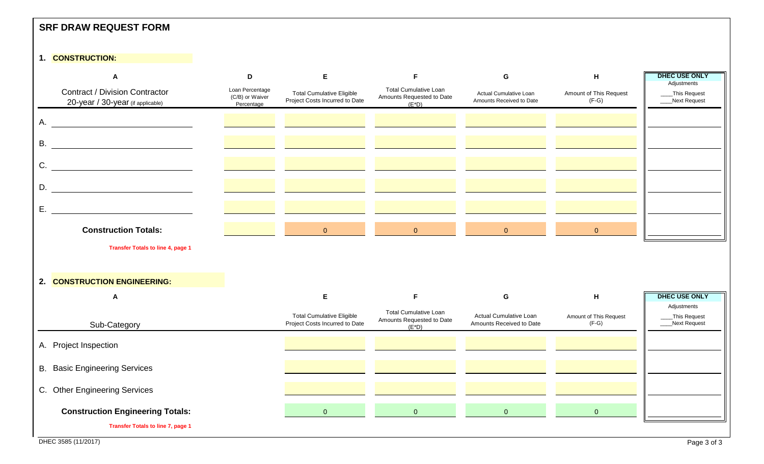| <b>SRF DRAW REQUEST FORM</b>                                                                                                                                                                                                                                                                                                                                                                                                                              |                                                  |                                                                    |                                                                       |                                                    |                                   |                                              |
|-----------------------------------------------------------------------------------------------------------------------------------------------------------------------------------------------------------------------------------------------------------------------------------------------------------------------------------------------------------------------------------------------------------------------------------------------------------|--------------------------------------------------|--------------------------------------------------------------------|-----------------------------------------------------------------------|----------------------------------------------------|-----------------------------------|----------------------------------------------|
| 1. CONSTRUCTION:                                                                                                                                                                                                                                                                                                                                                                                                                                          |                                                  |                                                                    |                                                                       |                                                    |                                   |                                              |
| A                                                                                                                                                                                                                                                                                                                                                                                                                                                         | D                                                | E                                                                  | F                                                                     | G                                                  | H                                 | <b>DHEC USE ONLY</b>                         |
| <b>Contract / Division Contractor</b><br>20-year / 30-year (if applicable)                                                                                                                                                                                                                                                                                                                                                                                | Loan Percentage<br>(C/B) or Waiver<br>Percentage | <b>Total Cumulative Eligible</b><br>Project Costs Incurred to Date | <b>Total Cumulative Loan</b><br>Amounts Requested to Date<br>$(E^*D)$ | Actual Cumulative Loan<br>Amounts Received to Date | Amount of This Request<br>$(F-G)$ | Adjustments<br>_This Request<br>Next Request |
| A.                                                                                                                                                                                                                                                                                                                                                                                                                                                        |                                                  |                                                                    |                                                                       |                                                    |                                   |                                              |
| <b>B.</b><br><u> 1989 - Johann Barbara, martxa alemaniar a</u>                                                                                                                                                                                                                                                                                                                                                                                            |                                                  |                                                                    |                                                                       |                                                    |                                   |                                              |
| C.<br><u> 1990 - Johann Barbara, martin a</u>                                                                                                                                                                                                                                                                                                                                                                                                             |                                                  |                                                                    |                                                                       |                                                    |                                   |                                              |
| $D. \begin{tabular}{ c c c c } \hline \rule{0.3cm}{.03cm} & \rule{0.3cm}{.03cm} \multicolumn{3}{c}{} & \multicolumn{3}{c}{} \multicolumn{3}{c}{} \multicolumn{3}{c}{} \multicolumn{3}{c}{} \multicolumn{3}{c}{} \multicolumn{3}{c}{} \multicolumn{3}{c}{} \multicolumn{3}{c}{} \multicolumn{3}{c}{} \multicolumn{3}{c}{} \multicolumn{3}{c}{} \multicolumn{3}{c}{} \multicolumn{3}{c}{} \multicolumn{3}{c}{} \multicolumn{3}{c}{} \multicolumn{3}{c}{} \$ |                                                  |                                                                    |                                                                       |                                                    |                                   |                                              |
| Ε.                                                                                                                                                                                                                                                                                                                                                                                                                                                        |                                                  |                                                                    |                                                                       |                                                    |                                   |                                              |
| <b>Construction Totals:</b>                                                                                                                                                                                                                                                                                                                                                                                                                               |                                                  | $\mathbf{0}$                                                       | $\mathbf{0}$                                                          | $\overline{0}$                                     | $\Omega$                          |                                              |
| <b>Transfer Totals to line 4, page 1</b>                                                                                                                                                                                                                                                                                                                                                                                                                  |                                                  |                                                                    |                                                                       |                                                    |                                   |                                              |
| 2. CONSTRUCTION ENGINEERING:                                                                                                                                                                                                                                                                                                                                                                                                                              |                                                  |                                                                    |                                                                       |                                                    |                                   |                                              |
| A                                                                                                                                                                                                                                                                                                                                                                                                                                                         |                                                  | E                                                                  | $\mathsf F$                                                           | G                                                  | H                                 | <b>DHEC USE ONLY</b>                         |
| Sub-Category                                                                                                                                                                                                                                                                                                                                                                                                                                              |                                                  | <b>Total Cumulative Eligible</b><br>Project Costs Incurred to Date | <b>Total Cumulative Loan</b><br>Amounts Requested to Date<br>$(E^*D)$ | Actual Cumulative Loan<br>Amounts Received to Date | Amount of This Request<br>$(F-G)$ | Adjustments<br>_This Request<br>Next Request |
| A. Project Inspection                                                                                                                                                                                                                                                                                                                                                                                                                                     |                                                  |                                                                    |                                                                       |                                                    |                                   |                                              |
| <b>B.</b> Basic Engineering Services                                                                                                                                                                                                                                                                                                                                                                                                                      |                                                  |                                                                    |                                                                       |                                                    |                                   |                                              |
| C. Other Engineering Services                                                                                                                                                                                                                                                                                                                                                                                                                             |                                                  |                                                                    |                                                                       |                                                    |                                   |                                              |
| <b>Construction Engineering Totals:</b>                                                                                                                                                                                                                                                                                                                                                                                                                   |                                                  | $\mathbf{0}$                                                       | $\mathbf{0}$                                                          | $\overline{0}$                                     | $\mathbf 0$                       |                                              |
| <b>Transfer Totals to line 7, page 1</b>                                                                                                                                                                                                                                                                                                                                                                                                                  |                                                  |                                                                    |                                                                       |                                                    |                                   |                                              |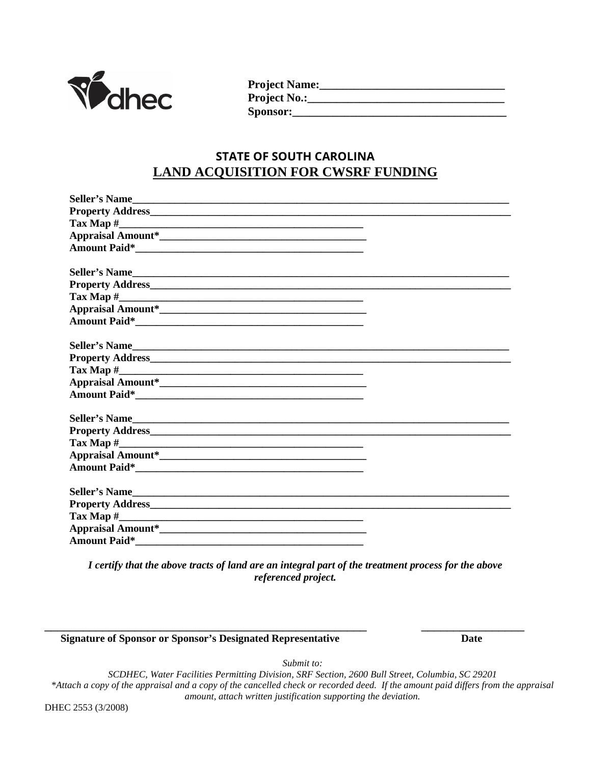

**Project Name:\_\_\_\_\_\_\_\_\_\_\_\_\_\_\_\_\_\_\_\_\_\_\_\_\_\_\_\_\_\_\_\_ Project No.:\_\_\_\_\_\_\_\_\_\_\_\_\_\_\_\_\_\_\_\_\_\_\_\_\_\_\_\_\_\_\_\_\_\_ Sponsor:\_\_\_\_\_\_\_\_\_\_\_\_\_\_\_\_\_\_\_\_\_\_\_\_\_\_\_\_\_\_\_\_\_\_\_\_\_**

## **STATE OF SOUTH CAROLINA LAND ACQUISITION FOR CWSRF FUNDING**

| Seller's Name                                                                                                                                                                                                                  |  |
|--------------------------------------------------------------------------------------------------------------------------------------------------------------------------------------------------------------------------------|--|
|                                                                                                                                                                                                                                |  |
|                                                                                                                                                                                                                                |  |
|                                                                                                                                                                                                                                |  |
|                                                                                                                                                                                                                                |  |
|                                                                                                                                                                                                                                |  |
| Seller's Name                                                                                                                                                                                                                  |  |
|                                                                                                                                                                                                                                |  |
|                                                                                                                                                                                                                                |  |
|                                                                                                                                                                                                                                |  |
|                                                                                                                                                                                                                                |  |
|                                                                                                                                                                                                                                |  |
| Seller's Name                                                                                                                                                                                                                  |  |
|                                                                                                                                                                                                                                |  |
|                                                                                                                                                                                                                                |  |
|                                                                                                                                                                                                                                |  |
| Amount Paid*                                                                                                                                                                                                                   |  |
|                                                                                                                                                                                                                                |  |
| Seller's Name                                                                                                                                                                                                                  |  |
|                                                                                                                                                                                                                                |  |
|                                                                                                                                                                                                                                |  |
|                                                                                                                                                                                                                                |  |
| Amount Paid* The Communication of the Communication of the Communication of the Communication of the Communication of the Communication of the Communication of the Communication of the Communication of the Communication of |  |
|                                                                                                                                                                                                                                |  |
| Seller's Name                                                                                                                                                                                                                  |  |
|                                                                                                                                                                                                                                |  |
|                                                                                                                                                                                                                                |  |
|                                                                                                                                                                                                                                |  |
| <b>Amount Paid*</b>                                                                                                                                                                                                            |  |

*I certify that the above tracts of land are an integral part of the treatment process for the above referenced project.*

\_\_\_\_\_\_\_\_\_\_\_\_\_\_\_\_\_\_\_\_\_\_\_\_\_\_\_\_\_\_\_\_\_\_\_\_\_\_\_\_\_\_\_\_\_\_\_\_\_\_ \_\_\_\_\_\_\_\_\_\_\_\_\_\_\_\_

 **Signature of Sponsor or Sponsor's Designated Representative Date**

*Submit to:*

*SCDHEC, Water Facilities Permitting Division, SRF Section, 2600 Bull Street, Columbia, SC 29201 \*Attach a copy of the appraisal and a copy of the cancelled check or recorded deed. If the amount paid differs from the appraisal amount, attach written justification supporting the deviation.*

DHEC 2553 (3/2008)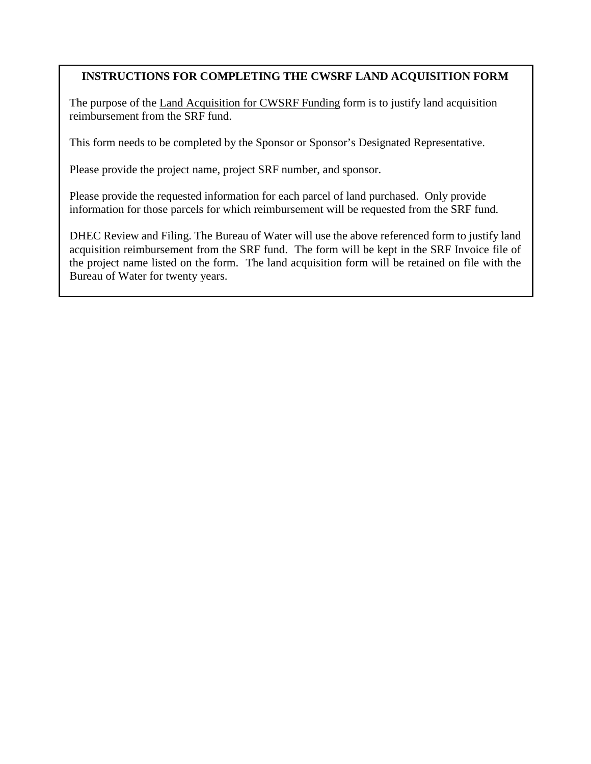### **INSTRUCTIONS FOR COMPLETING THE CWSRF LAND ACQUISITION FORM**

The purpose of the Land Acquisition for CWSRF Funding form is to justify land acquisition reimbursement from the SRF fund.

This form needs to be completed by the Sponsor or Sponsor's Designated Representative.

Please provide the project name, project SRF number, and sponsor.

Please provide the requested information for each parcel of land purchased. Only provide information for those parcels for which reimbursement will be requested from the SRF fund.

DHEC Review and Filing. The Bureau of Water will use the above referenced form to justify land acquisition reimbursement from the SRF fund. The form will be kept in the SRF Invoice file of the project name listed on the form. The land acquisition form will be retained on file with the Bureau of Water for twenty years.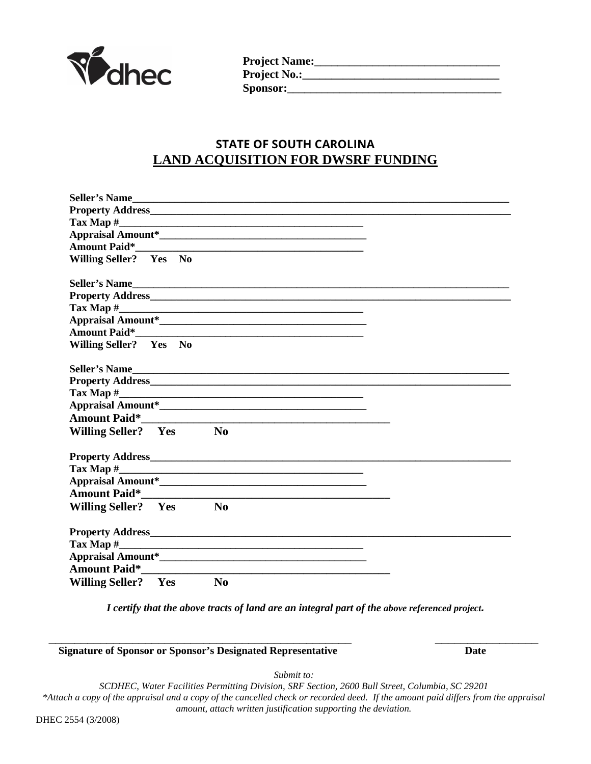

| <b>Project Name:_</b> |  |
|-----------------------|--|
| <b>Project No.:_</b>  |  |
| <b>Sponsor:_</b>      |  |

## **STATE OF SOUTH CAROLINA LAND ACQUISITION FOR DWSRF FUNDING**

| Seller's Name                                                                                                                                                                                                                       |  |
|-------------------------------------------------------------------------------------------------------------------------------------------------------------------------------------------------------------------------------------|--|
| Property Address <b>Example 2018</b> 2019 12:00:00 12:00:00 12:00:00 12:00:00 12:00:00 12:00:00 12:00:00 12:00:00 12:00:00 12:00:00 12:00:00 12:00:00 12:00:00 12:00:00 12:00:00 12:00:00 12:00:00 12:00:00 12:00:00 12:00:00 12:00 |  |
|                                                                                                                                                                                                                                     |  |
|                                                                                                                                                                                                                                     |  |
| Amount Paid* The Communication of the Communication of the Communication of the Communication of the Communication of the Communication of the Communication of the Communication of the Communication of the Communication of      |  |
| Willing Seller? Yes No                                                                                                                                                                                                              |  |
|                                                                                                                                                                                                                                     |  |
| Seller's Name                                                                                                                                                                                                                       |  |
|                                                                                                                                                                                                                                     |  |
|                                                                                                                                                                                                                                     |  |
|                                                                                                                                                                                                                                     |  |
|                                                                                                                                                                                                                                     |  |
| Willing Seller? Yes No                                                                                                                                                                                                              |  |
|                                                                                                                                                                                                                                     |  |
| Seller's Name                                                                                                                                                                                                                       |  |
|                                                                                                                                                                                                                                     |  |
|                                                                                                                                                                                                                                     |  |
|                                                                                                                                                                                                                                     |  |
|                                                                                                                                                                                                                                     |  |
| Willing Seller? Yes<br>N <sub>0</sub>                                                                                                                                                                                               |  |
|                                                                                                                                                                                                                                     |  |
|                                                                                                                                                                                                                                     |  |
|                                                                                                                                                                                                                                     |  |
|                                                                                                                                                                                                                                     |  |
| <b>Amount Paid*</b>                                                                                                                                                                                                                 |  |
| Willing Seller? Yes<br>No                                                                                                                                                                                                           |  |
|                                                                                                                                                                                                                                     |  |
|                                                                                                                                                                                                                                     |  |
|                                                                                                                                                                                                                                     |  |
|                                                                                                                                                                                                                                     |  |
|                                                                                                                                                                                                                                     |  |
| <b>Amount Paid*</b>                                                                                                                                                                                                                 |  |
| Willing Seller? Yes<br>$\bf No$                                                                                                                                                                                                     |  |

*I certify that the above tracts of land are an integral part of the above referenced project.*

\_\_\_\_\_\_\_\_\_\_\_\_\_\_\_\_\_\_\_\_\_\_\_\_\_\_\_\_\_\_\_\_\_\_\_\_\_\_\_\_\_\_\_\_\_\_\_ \_\_\_\_\_\_\_\_\_\_\_\_\_\_\_\_

**Signature of Sponsor or Sponsor's Designated Representative Date**

*Submit to:*

*SCDHEC, Water Facilities Permitting Division, SRF Section, 2600 Bull Street, Columbia, SC 29201 \*Attach a copy of the appraisal and a copy of the cancelled check or recorded deed. If the amount paid differs from the appraisal amount, attach written justification supporting the deviation.*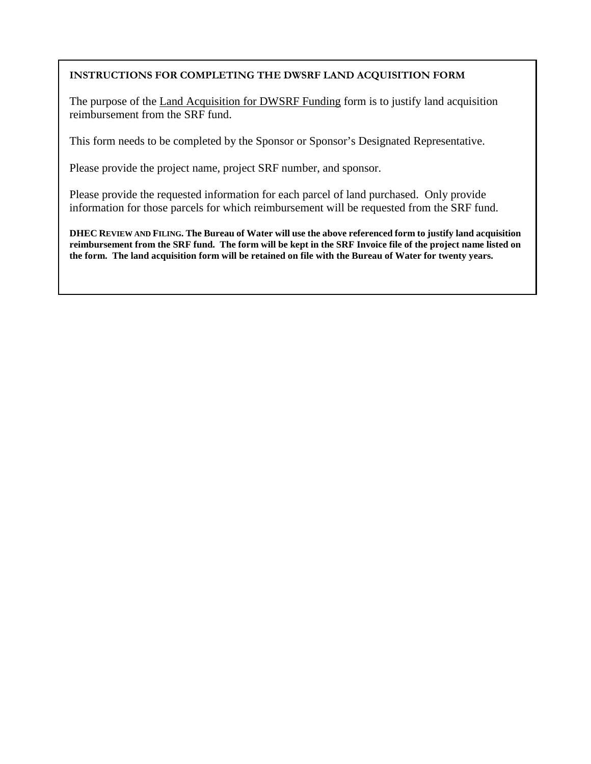#### **INSTRUCTIONS FOR COMPLETING THE DWSRF LAND ACQUISITION FORM**

The purpose of the Land Acquisition for DWSRF Funding form is to justify land acquisition reimbursement from the SRF fund.

This form needs to be completed by the Sponsor or Sponsor's Designated Representative.

Please provide the project name, project SRF number, and sponsor.

Please provide the requested information for each parcel of land purchased. Only provide information for those parcels for which reimbursement will be requested from the SRF fund.

**DHEC REVIEW AND FILING. The Bureau of Water will use the above referenced form to justify land acquisition reimbursement from the SRF fund. The form will be kept in the SRF Invoice file of the project name listed on the form. The land acquisition form will be retained on file with the Bureau of Water for twenty years.**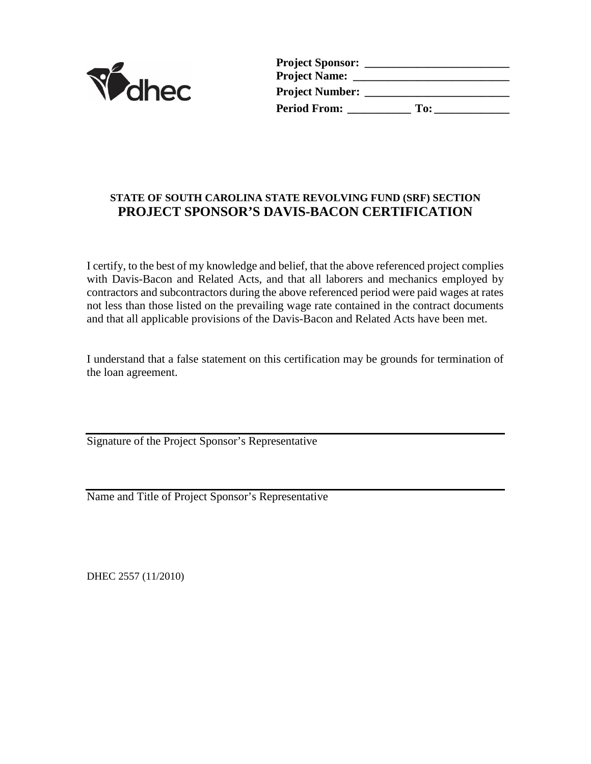

| <b>Project Sponsor:</b> |     |  |
|-------------------------|-----|--|
| <b>Project Name:</b>    |     |  |
| <b>Project Number:</b>  |     |  |
| <b>Period From:</b>     | To: |  |

## **STATE OF SOUTH CAROLINA STATE REVOLVING FUND (SRF) SECTION PROJECT SPONSOR'S DAVIS-BACON CERTIFICATION**

I certify, to the best of my knowledge and belief, that the above referenced project complies with Davis-Bacon and Related Acts, and that all laborers and mechanics employed by contractors and subcontractors during the above referenced period were paid wages at rates not less than those listed on the prevailing wage rate contained in the contract documents and that all applicable provisions of the Davis-Bacon and Related Acts have been met.

I understand that a false statement on this certification may be grounds for termination of the loan agreement.

Signature of the Project Sponsor's Representative

Name and Title of Project Sponsor's Representative

DHEC 2557 (11/2010)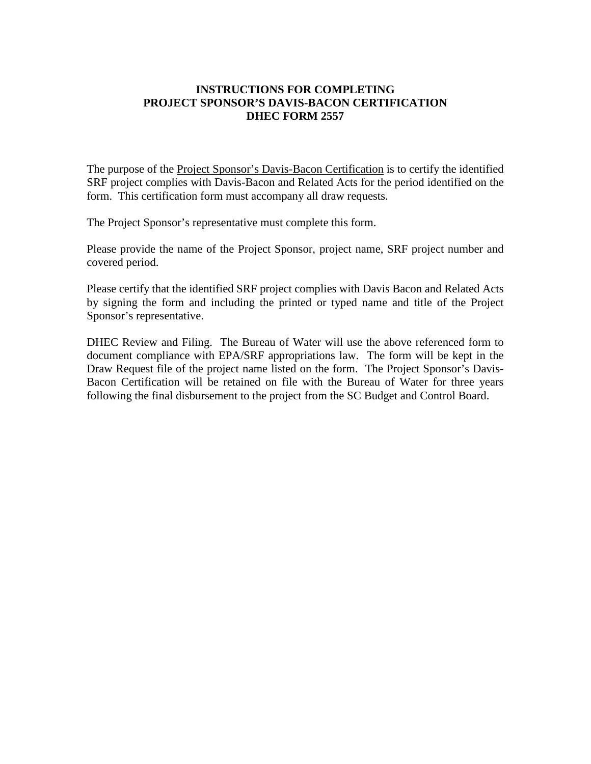#### **INSTRUCTIONS FOR COMPLETING PROJECT SPONSOR'S DAVIS-BACON CERTIFICATION DHEC FORM 2557**

The purpose of the Project Sponsor's Davis-Bacon Certification is to certify the identified SRF project complies with Davis-Bacon and Related Acts for the period identified on the form. This certification form must accompany all draw requests.

The Project Sponsor's representative must complete this form.

Please provide the name of the Project Sponsor, project name, SRF project number and covered period.

Please certify that the identified SRF project complies with Davis Bacon and Related Acts by signing the form and including the printed or typed name and title of the Project Sponsor's representative.

DHEC Review and Filing. The Bureau of Water will use the above referenced form to document compliance with EPA/SRF appropriations law. The form will be kept in the Draw Request file of the project name listed on the form. The Project Sponsor's Davis-Bacon Certification will be retained on file with the Bureau of Water for three years following the final disbursement to the project from the SC Budget and Control Board.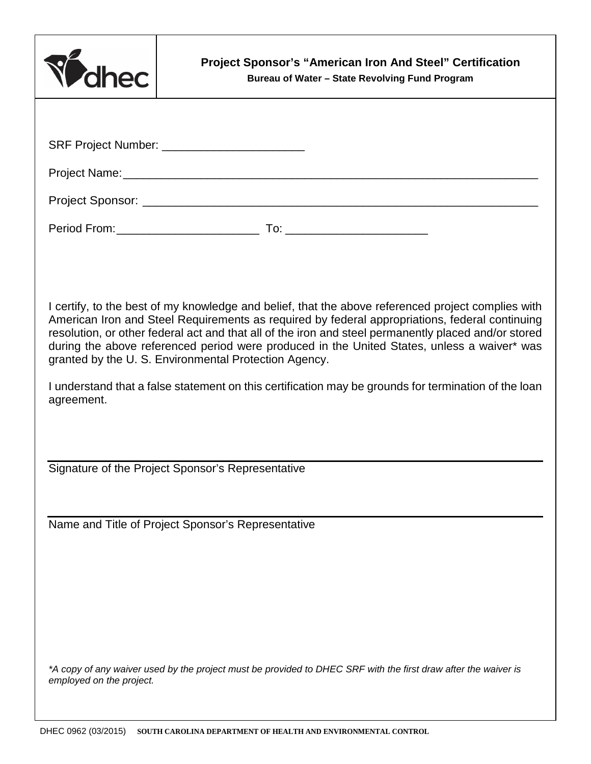| Velhec                                                                                                                                                                                                                                                                                                                                                                                                                                                               | <b>Project Sponsor's "American Iron And Steel" Certification</b><br>Bureau of Water - State Revolving Fund Program |
|----------------------------------------------------------------------------------------------------------------------------------------------------------------------------------------------------------------------------------------------------------------------------------------------------------------------------------------------------------------------------------------------------------------------------------------------------------------------|--------------------------------------------------------------------------------------------------------------------|
|                                                                                                                                                                                                                                                                                                                                                                                                                                                                      |                                                                                                                    |
| SRF Project Number: _________________________                                                                                                                                                                                                                                                                                                                                                                                                                        |                                                                                                                    |
|                                                                                                                                                                                                                                                                                                                                                                                                                                                                      |                                                                                                                    |
|                                                                                                                                                                                                                                                                                                                                                                                                                                                                      |                                                                                                                    |
|                                                                                                                                                                                                                                                                                                                                                                                                                                                                      |                                                                                                                    |
|                                                                                                                                                                                                                                                                                                                                                                                                                                                                      |                                                                                                                    |
|                                                                                                                                                                                                                                                                                                                                                                                                                                                                      |                                                                                                                    |
| I certify, to the best of my knowledge and belief, that the above referenced project complies with<br>American Iron and Steel Requirements as required by federal appropriations, federal continuing<br>resolution, or other federal act and that all of the iron and steel permanently placed and/or stored<br>during the above referenced period were produced in the United States, unless a waiver* was<br>granted by the U. S. Environmental Protection Agency. |                                                                                                                    |
| I understand that a false statement on this certification may be grounds for termination of the loan<br>agreement.                                                                                                                                                                                                                                                                                                                                                   |                                                                                                                    |
|                                                                                                                                                                                                                                                                                                                                                                                                                                                                      |                                                                                                                    |
| Signature of the Project Sponsor's Representative                                                                                                                                                                                                                                                                                                                                                                                                                    |                                                                                                                    |
|                                                                                                                                                                                                                                                                                                                                                                                                                                                                      |                                                                                                                    |
| Name and Title of Project Sponsor's Representative                                                                                                                                                                                                                                                                                                                                                                                                                   |                                                                                                                    |
|                                                                                                                                                                                                                                                                                                                                                                                                                                                                      |                                                                                                                    |
|                                                                                                                                                                                                                                                                                                                                                                                                                                                                      |                                                                                                                    |
|                                                                                                                                                                                                                                                                                                                                                                                                                                                                      |                                                                                                                    |
|                                                                                                                                                                                                                                                                                                                                                                                                                                                                      |                                                                                                                    |
| *A copy of any waiver used by the project must be provided to DHEC SRF with the first draw after the waiver is<br>employed on the project.                                                                                                                                                                                                                                                                                                                           |                                                                                                                    |